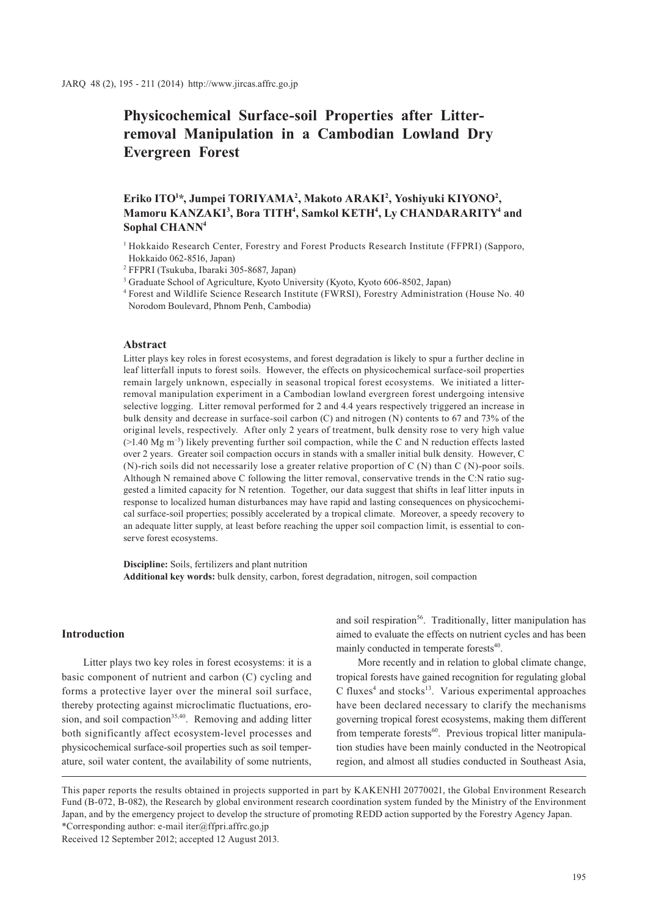# **Physicochemical Surface-soil Properties after Litterremoval Manipulation in a Cambodian Lowland Dry Evergreen Forest**

# Eriko ITO<sup>1</sup>\*, Jumpei TORIYAMA<sup>2</sup>, Makoto ARAKI<sup>2</sup>, Yoshiyuki KIYONO<sup>2</sup>,  $\mathbf{M}$ amoru KANZAKI<sup>3</sup>, Bora TITH<sup>4</sup>, Samkol KETH<sup>4</sup>, Ly CHANDARARITY<sup>4</sup> and **Sophal CHANN4**

#### **Abstract**

Litter plays key roles in forest ecosystems, and forest degradation is likely to spur a further decline in leaf litterfall inputs to forest soils. However, the effects on physicochemical surface-soil properties remain largely unknown, especially in seasonal tropical forest ecosystems. We initiated a litterremoval manipulation experiment in a Cambodian lowland evergreen forest undergoing intensive selective logging. Litter removal performed for 2 and 4.4 years respectively triggered an increase in bulk density and decrease in surface-soil carbon (C) and nitrogen (N) contents to 67 and 73% of the original levels, respectively. After only 2 years of treatment, bulk density rose to very high value  $(>1.40$  Mg m<sup>-3</sup>) likely preventing further soil compaction, while the C and N reduction effects lasted over 2 years. Greater soil compaction occurs in stands with a smaller initial bulk density. However, C (N)-rich soils did not necessarily lose a greater relative proportion of C (N) than C (N)-poor soils. Although N remained above C following the litter removal, conservative trends in the C:N ratio suggested a limited capacity for N retention. Together, our data suggest that shifts in leaf litter inputs in response to localized human disturbances may have rapid and lasting consequences on physicochemical surface-soil properties; possibly accelerated by a tropical climate. Moreover, a speedy recovery to an adequate litter supply, at least before reaching the upper soil compaction limit, is essential to conserve forest ecosystems.

**Discipline:** Soils, fertilizers and plant nutrition **Additional key words:** bulk density, carbon, forest degradation, nitrogen, soil compaction

#### **Introduction**

Litter plays two key roles in forest ecosystems: it is a basic component of nutrient and carbon (C) cycling and forms a protective layer over the mineral soil surface, thereby protecting against microclimatic fluctuations, erosion, and soil compaction $35,40$ . Removing and adding litter both significantly affect ecosystem-level processes and physicochemical surface-soil properties such as soil temperature, soil water content, the availability of some nutrients,

and soil respiration<sup>56</sup>. Traditionally, litter manipulation has aimed to evaluate the effects on nutrient cycles and has been mainly conducted in temperate forests<sup>40</sup>.

More recently and in relation to global climate change, tropical forests have gained recognition for regulating global C fluxes<sup>4</sup> and stocks<sup>13</sup>. Various experimental approaches have been declared necessary to clarify the mechanisms governing tropical forest ecosystems, making them different from temperate forests<sup>60</sup>. Previous tropical litter manipulation studies have been mainly conducted in the Neotropical region, and almost all studies conducted in Southeast Asia,

This paper reports the results obtained in projects supported in part by KAKENHI 20770021, the Global Environment Research Fund (B-072, B-082), the Research by global environment research coordination system funded by the Ministry of the Environment Japan, and by the emergency project to develop the structure of promoting REDD action supported by the Forestry Agency Japan. \*Corresponding author: e-mail iter@ffpri.affrc.go.jp

Received 12 September 2012; accepted 12 August 2013.

<sup>&</sup>lt;sup>1</sup> Hokkaido Research Center, Forestry and Forest Products Research Institute (FFPRI) (Sapporo, Hokkaido 062-8516, Japan)

<sup>2</sup> FFPRI (Tsukuba, Ibaraki 305-8687, Japan)

<sup>&</sup>lt;sup>3</sup> Graduate School of Agriculture, Kyoto University (Kyoto, Kyoto 606-8502, Japan)

<sup>4</sup> Forest and Wildlife Science Research Institute (FWRSI), Forestry Administration (House No. 40 Norodom Boulevard, Phnom Penh, Cambodia)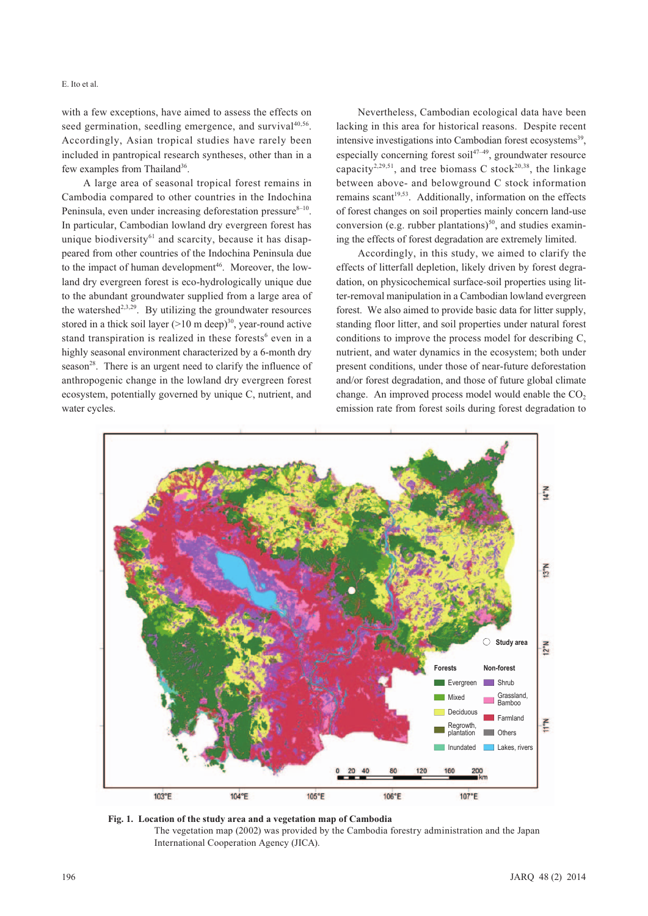with a few exceptions, have aimed to assess the effects on seed germination, seedling emergence, and survival $40,56$ . Accordingly, Asian tropical studies have rarely been included in pantropical research syntheses, other than in a few examples from Thailand<sup>36</sup>.

A large area of seasonal tropical forest remains in Cambodia compared to other countries in the Indochina Peninsula, even under increasing deforestation pressure $8-10$ . In particular, Cambodian lowland dry evergreen forest has unique biodiversity $^{61}$  and scarcity, because it has disappeared from other countries of the Indochina Peninsula due to the impact of human development<sup>46</sup>. Moreover, the lowland dry evergreen forest is eco-hydrologically unique due to the abundant groundwater supplied from a large area of the watershed<sup>2,3,29</sup>. By utilizing the groundwater resources stored in a thick soil layer  $(>10 \text{ m deep})^{30}$ , year-round active stand transpiration is realized in these forests<sup>6</sup> even in a highly seasonal environment characterized by a 6-month dry season<sup>28</sup>. There is an urgent need to clarify the influence of anthropogenic change in the lowland dry evergreen forest ecosystem, potentially governed by unique C, nutrient, and water cycles.

Nevertheless, Cambodian ecological data have been lacking in this area for historical reasons. Despite recent intensive investigations into Cambodian forest ecosystems $39$ , especially concerning forest  $\text{soil}^{47-49}$ , groundwater resource capacity<sup>2,29,51</sup>, and tree biomass C stock<sup>20,38</sup>, the linkage between above- and belowground C stock information remains scant<sup>19,53</sup>. Additionally, information on the effects of forest changes on soil properties mainly concern land-use conversion (e.g. rubber plantations)<sup>50</sup>, and studies examining the effects of forest degradation are extremely limited.

Accordingly, in this study, we aimed to clarify the effects of litterfall depletion, likely driven by forest degradation, on physicochemical surface-soil properties using litter-removal manipulation in a Cambodian lowland evergreen forest. We also aimed to provide basic data for litter supply, standing floor litter, and soil properties under natural forest conditions to improve the process model for describing C, nutrient, and water dynamics in the ecosystem; both under present conditions, under those of near-future deforestation and/or forest degradation, and those of future global climate change. An improved process model would enable the  $CO<sub>2</sub>$ emission rate from forest soils during forest degradation to



**Fig. 1. Location of the study area and a vegetation map of Cambodia** The vegetation map (2002) was provided by the Cambodia forestry administration and the Japan International Cooperation Agency (JICA).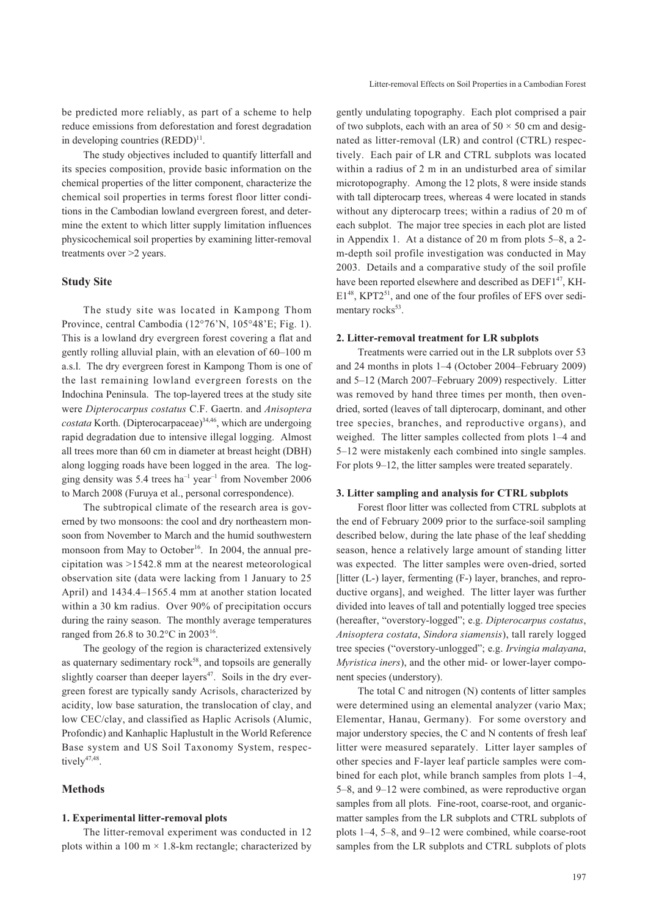be predicted more reliably, as part of a scheme to help reduce emissions from deforestation and forest degradation in developing countries  $(REDD)^{11}$ .

The study objectives included to quantify litterfall and its species composition, provide basic information on the chemical properties of the litter component, characterize the chemical soil properties in terms forest floor litter conditions in the Cambodian lowland evergreen forest, and determine the extent to which litter supply limitation influences physicochemical soil properties by examining litter-removal treatments over >2 years.

# **Study Site**

The study site was located in Kampong Thom Province, central Cambodia (12°76'N, 105°48'E; Fig. 1). This is a lowland dry evergreen forest covering a flat and gently rolling alluvial plain, with an elevation of 60–100 m a.s.l. The dry evergreen forest in Kampong Thom is one of the last remaining lowland evergreen forests on the Indochina Peninsula. The top-layered trees at the study site were *Dipterocarpus costatus* C.F. Gaertn. and *Anisoptera costata* Korth. (Dipterocarpaceae)<sup>34,46</sup>, which are undergoing rapid degradation due to intensive illegal logging. Almost all trees more than 60 cm in diameter at breast height (DBH) along logging roads have been logged in the area. The logging density was 5.4 trees ha<sup>-1</sup> year<sup>-1</sup> from November 2006 to March 2008 (Furuya et al., personal correspondence).

The subtropical climate of the research area is governed by two monsoons: the cool and dry northeastern monsoon from November to March and the humid southwestern monsoon from May to October<sup>16</sup>. In 2004, the annual precipitation was >1542.8 mm at the nearest meteorological observation site (data were lacking from 1 January to 25 April) and 1434.4–1565.4 mm at another station located within a 30 km radius. Over 90% of precipitation occurs during the rainy season. The monthly average temperatures ranged from 26.8 to 30.2°C in 200316.

The geology of the region is characterized extensively as quaternary sedimentary rock $58$ , and topsoils are generally slightly coarser than deeper layers<sup>47</sup>. Soils in the dry evergreen forest are typically sandy Acrisols, characterized by acidity, low base saturation, the translocation of clay, and low CEC/clay, and classified as Haplic Acrisols (Alumic, Profondic) and Kanhaplic Haplustult in the World Reference Base system and US Soil Taxonomy System, respectively $47,48$ .

## **Methods**

## **1. Experimental litter-removal plots**

The litter-removal experiment was conducted in 12 plots within a 100 m  $\times$  1.8-km rectangle; characterized by

gently undulating topography. Each plot comprised a pair of two subplots, each with an area of  $50 \times 50$  cm and designated as litter-removal (LR) and control (CTRL) respectively. Each pair of LR and CTRL subplots was located within a radius of 2 m in an undisturbed area of similar microtopography. Among the 12 plots, 8 were inside stands with tall dipterocarp trees, whereas 4 were located in stands without any dipterocarp trees; within a radius of 20 m of each subplot. The major tree species in each plot are listed in Appendix 1. At a distance of 20 m from plots 5–8, a 2 m-depth soil profile investigation was conducted in May 2003. Details and a comparative study of the soil profile have been reported elsewhere and described as DEF1<sup>47</sup>, KH- $E1^{48}$ , KPT $2^{51}$ , and one of the four profiles of EFS over sedimentary rocks<sup>53</sup>.

## **2. Litter-removal treatment for LR subplots**

Treatments were carried out in the LR subplots over 53 and 24 months in plots 1–4 (October 2004–February 2009) and 5–12 (March 2007–February 2009) respectively. Litter was removed by hand three times per month, then ovendried, sorted (leaves of tall dipterocarp, dominant, and other tree species, branches, and reproductive organs), and weighed. The litter samples collected from plots 1–4 and 5–12 were mistakenly each combined into single samples. For plots 9–12, the litter samples were treated separately.

## **3. Litter sampling and analysis for CTRL subplots**

Forest floor litter was collected from CTRL subplots at the end of February 2009 prior to the surface-soil sampling described below, during the late phase of the leaf shedding season, hence a relatively large amount of standing litter was expected. The litter samples were oven-dried, sorted [litter (L-) layer, fermenting (F-) layer, branches, and reproductive organs], and weighed. The litter layer was further divided into leaves of tall and potentially logged tree species (hereafter, "overstory-logged"; e.g. *Dipterocarpus costatus*, *Anisoptera costata*, *Sindora siamensis*), tall rarely logged tree species ("overstory-unlogged"; e.g. *Irvingia malayana*, *Myristica iners*), and the other mid- or lower-layer component species (understory).

The total C and nitrogen (N) contents of litter samples were determined using an elemental analyzer (vario Max; Elementar, Hanau, Germany). For some overstory and major understory species, the C and N contents of fresh leaf litter were measured separately. Litter layer samples of other species and F-layer leaf particle samples were combined for each plot, while branch samples from plots 1–4, 5–8, and 9–12 were combined, as were reproductive organ samples from all plots. Fine-root, coarse-root, and organicmatter samples from the LR subplots and CTRL subplots of plots 1–4, 5–8, and 9–12 were combined, while coarse-root samples from the LR subplots and CTRL subplots of plots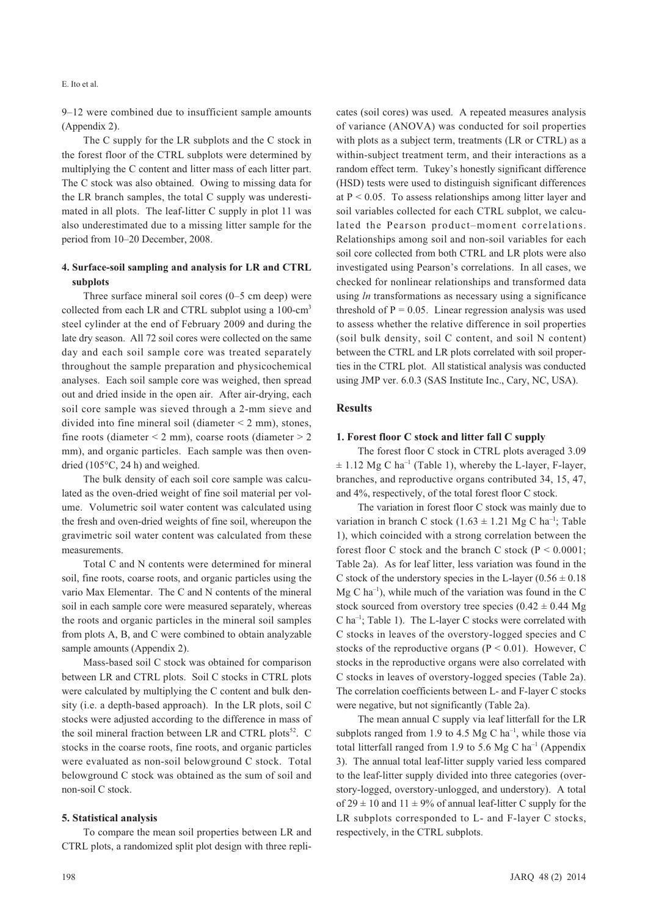9–12 were combined due to insufficient sample amounts (Appendix 2).

The C supply for the LR subplots and the C stock in the forest floor of the CTRL subplots were determined by multiplying the C content and litter mass of each litter part. The C stock was also obtained. Owing to missing data for the LR branch samples, the total C supply was underestimated in all plots. The leaf-litter C supply in plot 11 was also underestimated due to a missing litter sample for the period from 10–20 December, 2008.

# **4. Surface-soil sampling and analysis for LR and CTRL subplots**

Three surface mineral soil cores (0–5 cm deep) were collected from each LR and CTRL subplot using a 100-cm<sup>3</sup> steel cylinder at the end of February 2009 and during the late dry season. All 72 soil cores were collected on the same day and each soil sample core was treated separately throughout the sample preparation and physicochemical analyses. Each soil sample core was weighed, then spread out and dried inside in the open air. After air-drying, each soil core sample was sieved through a 2-mm sieve and divided into fine mineral soil (diameter < 2 mm), stones, fine roots (diameter  $\leq$  2 mm), coarse roots (diameter  $\geq$  2 mm), and organic particles. Each sample was then ovendried (105°C, 24 h) and weighed.

The bulk density of each soil core sample was calculated as the oven-dried weight of fine soil material per volume. Volumetric soil water content was calculated using the fresh and oven-dried weights of fine soil, whereupon the gravimetric soil water content was calculated from these measurements.

Total C and N contents were determined for mineral soil, fine roots, coarse roots, and organic particles using the vario Max Elementar. The C and N contents of the mineral soil in each sample core were measured separately, whereas the roots and organic particles in the mineral soil samples from plots A, B, and C were combined to obtain analyzable sample amounts (Appendix 2).

Mass-based soil C stock was obtained for comparison between LR and CTRL plots. Soil C stocks in CTRL plots were calculated by multiplying the C content and bulk density (i.e. a depth-based approach). In the LR plots, soil C stocks were adjusted according to the difference in mass of the soil mineral fraction between LR and CTRL plots<sup>52</sup>. C stocks in the coarse roots, fine roots, and organic particles were evaluated as non-soil belowground C stock. Total belowground C stock was obtained as the sum of soil and non-soil C stock.

## **5. Statistical analysis**

To compare the mean soil properties between LR and CTRL plots, a randomized split plot design with three repli-

cates (soil cores) was used. A repeated measures analysis of variance (ANOVA) was conducted for soil properties with plots as a subject term, treatments (LR or CTRL) as a within-subject treatment term, and their interactions as a random effect term. Tukey's honestly significant difference (HSD) tests were used to distinguish significant differences at  $P < 0.05$ . To assess relationships among litter layer and soil variables collected for each CTRL subplot, we calculated the Pearson product–moment correlations. Relationships among soil and non-soil variables for each soil core collected from both CTRL and LR plots were also investigated using Pearson's correlations. In all cases, we checked for nonlinear relationships and transformed data using *ln* transformations as necessary using a significance threshold of  $P = 0.05$ . Linear regression analysis was used to assess whether the relative difference in soil properties (soil bulk density, soil C content, and soil N content) between the CTRL and LR plots correlated with soil properties in the CTRL plot. All statistical analysis was conducted using JMP ver. 6.0.3 (SAS Institute Inc., Cary, NC, USA).

# **Results**

## **1. Forest floor C stock and litter fall C supply**

The forest floor C stock in CTRL plots averaged 3.09  $\pm$  1.12 Mg C ha<sup>-1</sup> (Table 1), whereby the L-layer, F-layer, branches, and reproductive organs contributed 34, 15, 47, and 4%, respectively, of the total forest floor C stock.

The variation in forest floor C stock was mainly due to variation in branch C stock (1.63  $\pm$  1.21 Mg C ha<sup>-1</sup>; Table 1), which coincided with a strong correlation between the forest floor C stock and the branch C stock  $(P \le 0.0001)$ : Table 2a). As for leaf litter, less variation was found in the C stock of the understory species in the L-layer  $(0.56 \pm 0.18)$  $Mg$  C ha<sup>-1</sup>), while much of the variation was found in the C stock sourced from overstory tree species  $(0.42 \pm 0.44)$  Mg C ha–1; Table 1). The L-layer C stocks were correlated with C stocks in leaves of the overstory-logged species and C stocks of the reproductive organs ( $P < 0.01$ ). However, C stocks in the reproductive organs were also correlated with C stocks in leaves of overstory-logged species (Table 2a). The correlation coefficients between L- and F-layer C stocks were negative, but not significantly (Table 2a).

The mean annual C supply via leaf litterfall for the LR subplots ranged from 1.9 to 4.5 Mg C ha<sup>-1</sup>, while those via total litterfall ranged from 1.9 to 5.6 Mg C ha<sup>-1</sup> (Appendix 3). The annual total leaf-litter supply varied less compared to the leaf-litter supply divided into three categories (overstory-logged, overstory-unlogged, and understory). A total of  $29 \pm 10$  and  $11 \pm 9\%$  of annual leaf-litter C supply for the LR subplots corresponded to L- and F-layer C stocks, respectively, in the CTRL subplots.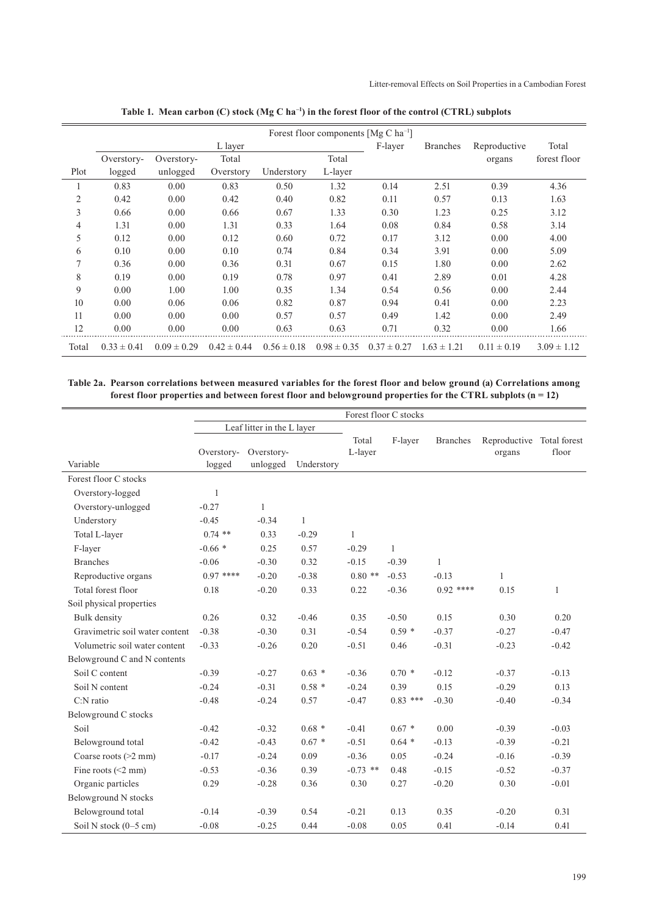|       |                 |                 |                 |                 | Forest floor components $[Mg C ha^{-1}]$ |                 |                 |                 |                 |
|-------|-----------------|-----------------|-----------------|-----------------|------------------------------------------|-----------------|-----------------|-----------------|-----------------|
|       |                 |                 | L layer         |                 |                                          | F-layer         | <b>Branches</b> | Reproductive    | Total           |
|       | Overstory-      | Overstory-      | Total           |                 | Total                                    |                 |                 | organs          | forest floor    |
| Plot  | logged          | unlogged        | Overstory       | Understory      | L-layer                                  |                 |                 |                 |                 |
|       | 0.83            | 0.00            | 0.83            | 0.50            | 1.32                                     | 0.14            | 2.51            | 0.39            | 4.36            |
| 2     | 0.42            | 0.00            | 0.42            | 0.40            | 0.82                                     | 0.11            | 0.57            | 0.13            | 1.63            |
| 3     | 0.66            | 0.00            | 0.66            | 0.67            | 1.33                                     | 0.30            | 1.23            | 0.25            | 3.12            |
| 4     | 1.31            | 0.00            | 1.31            | 0.33            | 1.64                                     | 0.08            | 0.84            | 0.58            | 3.14            |
| 5     | 0.12            | 0.00            | 0.12            | 0.60            | 0.72                                     | 0.17            | 3.12            | 0.00            | 4.00            |
| 6     | 0.10            | 0.00            | 0.10            | 0.74            | 0.84                                     | 0.34            | 3.91            | 0.00            | 5.09            |
| 7     | 0.36            | 0.00            | 0.36            | 0.31            | 0.67                                     | 0.15            | 1.80            | 0.00            | 2.62            |
| 8     | 0.19            | 0.00            | 0.19            | 0.78            | 0.97                                     | 0.41            | 2.89            | 0.01            | 4.28            |
| 9     | 0.00            | 1.00            | 1.00            | 0.35            | 1.34                                     | 0.54            | 0.56            | 0.00            | 2.44            |
| 10    | 0.00            | 0.06            | 0.06            | 0.82            | 0.87                                     | 0.94            | 0.41            | 0.00            | 2.23            |
| 11    | 0.00            | 0.00            | 0.00            | 0.57            | 0.57                                     | 0.49            | 1.42            | 0.00            | 2.49            |
| 12    | 0.00            | 0.00            | 0.00            | 0.63            | 0.63                                     | 0.71            | 0.32            | 0.00            | 1.66            |
| Total | $0.33 \pm 0.41$ | $0.09 \pm 0.29$ | $0.42 \pm 0.44$ | $0.56 \pm 0.18$ | $0.98 \pm 0.35$                          | $0.37 \pm 0.27$ | $1.63 \pm 1.21$ | $0.11 \pm 0.19$ | $3.09 \pm 1.12$ |

Table 1. Mean carbon (C) stock (Mg C ha<sup>-1</sup>) in the forest floor of the control (CTRL) subplots

# **Table 2a. Pearson correlations between measured variables for the forest floor and below ground (a) Correlations among forest floor properties and between forest floor and belowground properties for the CTRL subplots (n = 12)**

|                                |              |                            |              |              | Forest floor C stocks |                 |                           |              |
|--------------------------------|--------------|----------------------------|--------------|--------------|-----------------------|-----------------|---------------------------|--------------|
|                                |              | Leaf litter in the L layer |              |              |                       |                 |                           |              |
|                                |              |                            |              | Total        | F-layer               | <b>Branches</b> | Reproductive Total forest |              |
|                                | Overstory-   | Overstory-                 |              | L-layer      |                       |                 | organs                    | floor        |
| Variable                       | logged       | unlogged                   | Understory   |              |                       |                 |                           |              |
| Forest floor C stocks          |              |                            |              |              |                       |                 |                           |              |
| Overstory-logged               | $\mathbf{1}$ |                            |              |              |                       |                 |                           |              |
| Overstory-unlogged             | $-0.27$      | $\mathbf{1}$               |              |              |                       |                 |                           |              |
| Understory                     | $-0.45$      | $-0.34$                    | $\mathbf{1}$ |              |                       |                 |                           |              |
| Total L-layer                  | $0.74$ **    | 0.33                       | $-0.29$      | $\mathbf{1}$ |                       |                 |                           |              |
| F-layer                        | $-0.66*$     | 0.25                       | 0.57         | $-0.29$      | $\mathbf{1}$          |                 |                           |              |
| <b>Branches</b>                | $-0.06$      | $-0.30$                    | 0.32         | $-0.15$      | $-0.39$               | $\mathbf{1}$    |                           |              |
| Reproductive organs            | $0.97$ ****  | $-0.20$                    | $-0.38$      | $0.80**$     | $-0.53$               | $-0.13$         | $\mathbf{1}$              |              |
| Total forest floor             | 0.18         | $-0.20$                    | 0.33         | 0.22         | $-0.36$               | $0.92$ ****     | 0.15                      | $\mathbf{1}$ |
| Soil physical properties       |              |                            |              |              |                       |                 |                           |              |
| Bulk density                   | 0.26         | 0.32                       | $-0.46$      | 0.35         | $-0.50$               | 0.15            | 0.30                      | 0.20         |
| Gravimetric soil water content | $-0.38$      | $-0.30$                    | 0.31         | $-0.54$      | $0.59*$               | $-0.37$         | $-0.27$                   | $-0.47$      |
| Volumetric soil water content  | $-0.33$      | $-0.26$                    | 0.20         | $-0.51$      | 0.46                  | $-0.31$         | $-0.23$                   | $-0.42$      |
| Belowground C and N contents   |              |                            |              |              |                       |                 |                           |              |
| Soil C content                 | $-0.39$      | $-0.27$                    | $0.63 *$     | $-0.36$      | $0.70*$               | $-0.12$         | $-0.37$                   | $-0.13$      |
| Soil N content                 | $-0.24$      | $-0.31$                    | $0.58*$      | $-0.24$      | 0.39                  | 0.15            | $-0.29$                   | 0.13         |
| $C:N$ ratio                    | $-0.48$      | $-0.24$                    | 0.57         | $-0.47$      | $0.83$ ***            | $-0.30$         | $-0.40$                   | $-0.34$      |
| Belowground C stocks           |              |                            |              |              |                       |                 |                           |              |
| Soil                           | $-0.42$      | $-0.32$                    | $0.68*$      | $-0.41$      | $0.67 *$              | 0.00            | $-0.39$                   | $-0.03$      |
| Belowground total              | $-0.42$      | $-0.43$                    | $0.67*$      | $-0.51$      | $0.64*$               | $-0.13$         | $-0.39$                   | $-0.21$      |
| Coarse roots $(>2$ mm)         | $-0.17$      | $-0.24$                    | 0.09         | $-0.36$      | 0.05                  | $-0.24$         | $-0.16$                   | $-0.39$      |
| Fine roots $(\leq 2$ mm)       | $-0.53$      | $-0.36$                    | 0.39         | $-0.73$ **   | 0.48                  | $-0.15$         | $-0.52$                   | $-0.37$      |
| Organic particles              | 0.29         | $-0.28$                    | 0.36         | 0.30         | 0.27                  | $-0.20$         | 0.30                      | $-0.01$      |
| Belowground N stocks           |              |                            |              |              |                       |                 |                           |              |
| Belowground total              | $-0.14$      | $-0.39$                    | 0.54         | $-0.21$      | 0.13                  | 0.35            | $-0.20$                   | 0.31         |
| Soil N stock $(0-5$ cm)        | $-0.08$      | $-0.25$                    | 0.44         | $-0.08$      | 0.05                  | 0.41            | $-0.14$                   | 0.41         |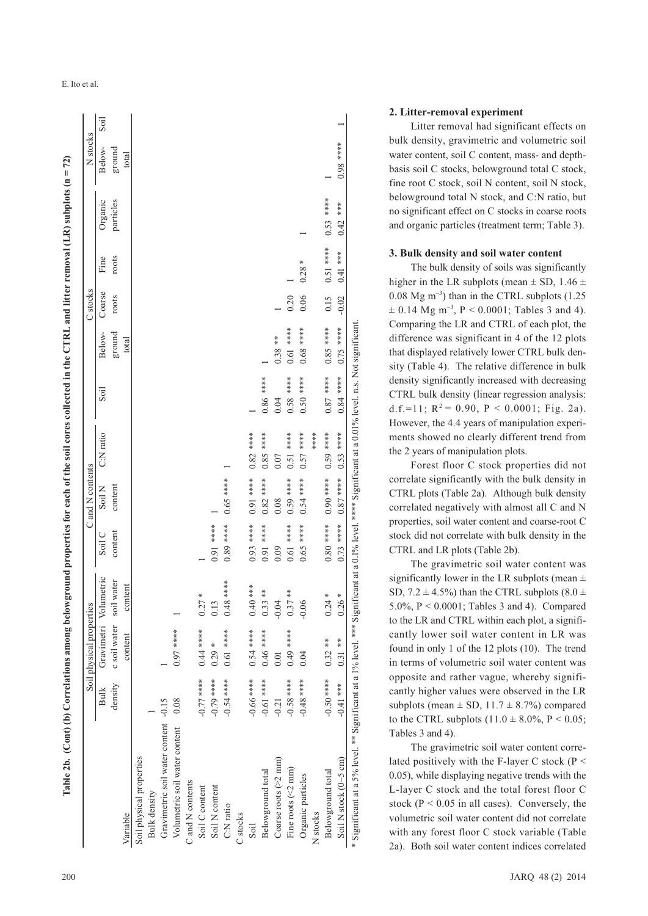|                                      |              | Soil physical properties |             |             | C and N contents |               |             |             | C stocks |             |             | N stocks  |      |
|--------------------------------------|--------------|--------------------------|-------------|-------------|------------------|---------------|-------------|-------------|----------|-------------|-------------|-----------|------|
|                                      | Bulk         | Gravimetri Volumetric    |             | Soil C      | Soil N           | C:N ratio     | Soil        | Below-      | Coarse   | Fine        | Organic     | Below-    | Soil |
|                                      | density      | c soil water soil water  |             | content     | content          |               |             | ground      | roots    | roots       | particles   | ground    |      |
| Variable                             |              | content                  | content     |             |                  |               |             | total       |          |             |             | total     |      |
| Soil physical properties             |              |                          |             |             |                  |               |             |             |          |             |             |           |      |
| Bulk density                         |              |                          |             |             |                  |               |             |             |          |             |             |           |      |
| Gravimetric soil water content -0.15 |              |                          |             |             |                  |               |             |             |          |             |             |           |      |
| Volumetric soil water content        | 0.08         | $0.97***$                |             |             |                  |               |             |             |          |             |             |           |      |
| C and N contents                     |              |                          |             |             |                  |               |             |             |          |             |             |           |      |
| Soil C content                       | $-0.77$ **** | $0.44$ ****              | 0.27        |             |                  |               |             |             |          |             |             |           |      |
| Soil N content                       | $-0.79$ **** | $0.29 *$                 | 0.13        | $0.91$ **** |                  |               |             |             |          |             |             |           |      |
| C:N ratio                            | $-0.54***$   | $0.61$ ****              | $0.48$ **** | $0.89$ **** | $0.65$ ****      |               |             |             |          |             |             |           |      |
| <b>C</b> stocks                      |              |                          |             |             |                  |               |             |             |          |             |             |           |      |
| Soil                                 | $-0.66$ **** | $0.54$ ****              | $0.40***$   | $0.93***$   | $0.91***$        | $0.82$ ****   |             |             |          |             |             |           |      |
| Belowground total                    | $-0.61$ **** | $0.46$ ****              | $0.33***$   | 0.91 ***    | $0.82$ ****      | $0.85***$     | $0.86$ **** |             |          |             |             |           |      |
| Coarse roots $(>2$ mm)               | $-0.21$      | 0.01                     | $-0.04$     | 0.09        | 0.08             | 0.07          | 0.04        | $0.38***$   |          |             |             |           |      |
| Fine roots $(<2$ mm)                 | $-0.58$ **** | $0.49$ ****              | $0.37***$   | $0.61$ **** | $0.59$ ****      | *****<br>0.51 | $0.58$ **** | $0.61$ **** | 0.20     |             |             |           |      |
| Organic particles                    | $-0.48$ **** | 0.04                     | $-0.06$     | $0.65$ **** | $0.54$ ****      | $0.57$ ****   | $0.50***$   | $0.68$ **** | 0.06     | $0.28 *$    |             |           |      |
| N stocks                             |              |                          |             |             |                  | ****          |             |             |          |             |             |           |      |
| Belowground total                    | $-0.50***$   | $0.32***$                | $0.24 *$    | $0.80***$   | $0.90***$        | $0.59$ ****   | $0.87***$   | $0.85$ **** | 0.15     | $0.51$ **** | $0.53$ **** |           |      |
| Soil N stock (0-5 cm)                | $-0.41$ ***  | $0.31$ **                | $0.26 *$    | $0.73$ ***  | $0.87***$        | $0.53$ ****   | $0.84$ **** | $0.75$ **** | $-0.02$  | $0.41***$   | $0.42$ ***  | 0.98 **** |      |

**2. Litter-removal experiment**

Litter removal had significant effects on bulk density, gravimetric and volumetric soil water content, soil C content, mass- and depthbasis soil C stocks, belowground total C stock, fine root C stock, soil N content, soil N stock, belowground total N stock, and C:N ratio, but no significant effect on C stocks in coarse roots and organic particles (treatment term; Table 3).

## **3. Bulk density and soil water content**

The bulk density of soils was significantly higher in the LR subplots (mean  $\pm$  SD, 1.46  $\pm$  $0.08$  Mg m<sup>-3</sup>) than in the CTRL subplots  $(1.25)$  $\pm$  0.14 Mg m<sup>-3</sup>, P < 0.0001; Tables 3 and 4). Comparing the LR and CTRL of each plot, the difference was significant in 4 of the 12 plots that displayed relatively lower CTRL bulk density (Table 4). The relative difference in bulk density significantly increased with decreasing CTRL bulk density (linear regression analysis: d.f.=11;  $R^2 = 0.90$ ,  $P < 0.0001$ ; Fig. 2a). However, the 4.4 years of manipulation experiments showed no clearly different trend from the 2 years of manipulation plots.

Forest floor C stock properties did not correlate significantly with the bulk density in CTRL plots (Table 2a). Although bulk density correlated negatively with almost all C and N properties, soil water content and coarse-root C stock did not correlate with bulk density in the CTRL and LR plots (Table 2b).

The gravimetric soil water content was significantly lower in the LR subplots (mean  $\pm$ SD,  $7.2 \pm 4.5\%$ ) than the CTRL subplots  $(8.0 \pm 1.5\%)$ 5.0%, P < 0.0001; Tables 3 and 4). Compared to the LR and CTRL within each plot, a significantly lower soil water content in LR was found in only 1 of the 12 plots (10). The trend in terms of volumetric soil water content was opposite and rather vague, whereby significantly higher values were observed in the LR subplots (mean  $\pm$  SD, 11.7  $\pm$  8.7%) compared to the CTRL subplots  $(11.0 \pm 8.0\%, P \le 0.05)$ ; Tables 3 and 4).

The gravimetric soil water content correlated positively with the F-layer C stock ( $P \le$ 0.05), while displaying negative trends with the L-layer C stock and the total forest floor C stock ( $P < 0.05$  in all cases). Conversely, the volumetric soil water content did not correlate with any forest floor C stock variable (Table 2a). Both soil water content indices correlated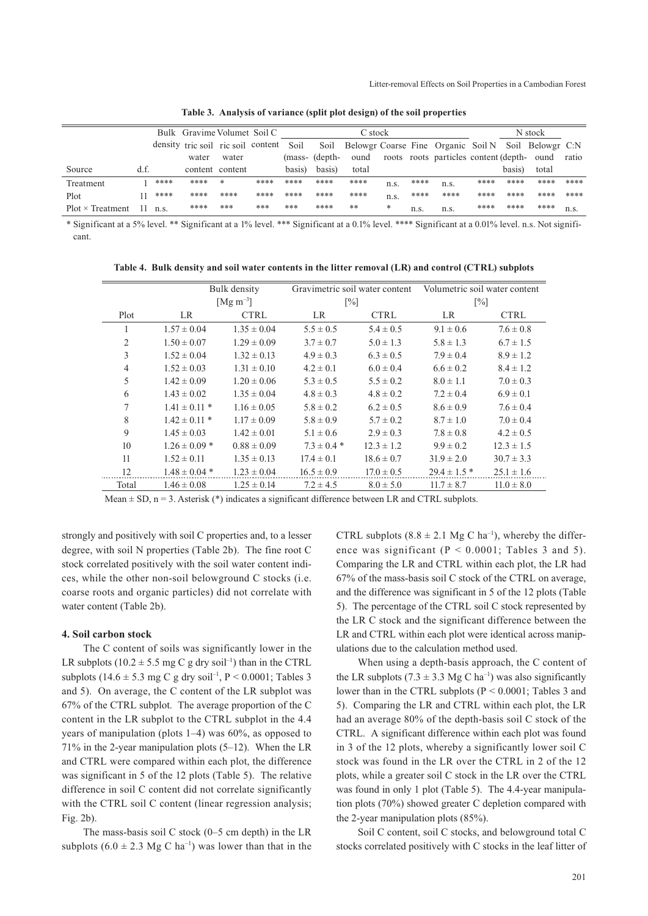|                         |      |      | Bulk Gravime Volumet Soil C        |                 |      |        |                | C stock |      |      |                                                     |      |        | N stock |      |
|-------------------------|------|------|------------------------------------|-----------------|------|--------|----------------|---------|------|------|-----------------------------------------------------|------|--------|---------|------|
|                         |      |      | density tric soil ric soil content |                 |      | Soil   | Soil           |         |      |      | Belowgr Coarse Fine Organic Soil N Soil Belowgr C:N |      |        |         |      |
|                         |      |      | water                              | water           |      |        | (mass- (depth- | ound    |      |      | roots roots particles content (depth- ound ratio    |      |        |         |      |
| Source                  | d.f. |      |                                    | content content |      | basis) | basis)         | total   |      |      |                                                     |      | basis) | total   |      |
| Treatment               |      | **** | ****                               | *               | **** | ****   | ****           | ****    | n.s. | **** | n.s.                                                | **** | ****   | ****    | **** |
| Plot                    |      | **** | ****                               | ****            | **** | ****   | ****           | ****    | n.s. | **** | ****                                                | **** | ****   | ****    | **** |
| $Plot \times Treatment$ | 11   | n.S. | ****                               | ***             | ***  | ***    | ****           | **      | *    | n.s. | n.s.                                                | **** | ****   | ****    | n.s. |

**Table 3. Analysis of variance (split plot design) of the soil properties**

\* Significant at a 5% level. \*\* Significant at a 1% level. \*\*\* Significant at a 0.1% level. \*\*\*\* Significant at a 0.01% level. n.s. Not significant.

|                |                   | Bulk density            |                   | Gravimetric soil water content | Volumetric soil water content |                |
|----------------|-------------------|-------------------------|-------------------|--------------------------------|-------------------------------|----------------|
|                |                   | [ $Mg \text{ m}^{-3}$ ] | $\lceil\% \rceil$ |                                | $\lceil\% \rceil$             |                |
| Plot           | LR.               | <b>CTRL</b>             | LR                | <b>CTRL</b>                    | LR                            | <b>CTRL</b>    |
| 1              | $1.57 \pm 0.04$   | $1.35 \pm 0.04$         | $5.5 \pm 0.5$     | $5.4 \pm 0.5$                  | $9.1 \pm 0.6$                 | $7.6 \pm 0.8$  |
| $\overline{2}$ | $1.50 \pm 0.07$   | $1.29 \pm 0.09$         | $3.7 \pm 0.7$     | $5.0 \pm 1.3$                  | $5.8 \pm 1.3$                 | $6.7 \pm 1.5$  |
| 3              | $1.52 \pm 0.04$   | $1.32 \pm 0.13$         | $4.9 \pm 0.3$     | $6.3 \pm 0.5$                  | $7.9 \pm 0.4$                 | $8.9 \pm 1.2$  |
| $\overline{4}$ | $1.52 \pm 0.03$   | $1.31 \pm 0.10$         | $4.2 \pm 0.1$     | $6.0 \pm 0.4$                  | $6.6 \pm 0.2$                 | $8.4 \pm 1.2$  |
| 5              | $1.42 \pm 0.09$   | $1.20 \pm 0.06$         | $5.3 \pm 0.5$     | $5.5 \pm 0.2$                  | $8.0 \pm 1.1$                 | $7.0 \pm 0.3$  |
| 6              | $1.43 \pm 0.02$   | $1.35 \pm 0.04$         | $4.8 \pm 0.3$     | $4.8 \pm 0.2$                  | $7.2 \pm 0.4$                 | $6.9 \pm 0.1$  |
| 7              | $1.41 \pm 0.11$ * | $1.16 \pm 0.05$         | $5.8 \pm 0.2$     | $6.2 \pm 0.5$                  | $8.6 \pm 0.9$                 | $7.6 \pm 0.4$  |
| 8              | $1.42 \pm 0.11$ * | $1.17 \pm 0.09$         | $5.8 \pm 0.9$     | $5.7 \pm 0.2$                  | $8.7 \pm 1.0$                 | $7.0 \pm 0.4$  |
| 9              | $1.45 \pm 0.03$   | $1.42 \pm 0.01$         | $5.1 \pm 0.6$     | $2.9 \pm 0.3$                  | $7.8 \pm 0.8$                 | $4.2 \pm 0.5$  |
| 10             | $1.26 \pm 0.09$ * | $0.88 \pm 0.09$         | $7.3 \pm 0.4$ *   | $12.3 \pm 1.2$                 | $9.9 \pm 0.2$                 | $12.3 \pm 1.5$ |
| 11             | $1.52 \pm 0.11$   | $1.35 \pm 0.13$         | $17.4 \pm 0.1$    | $18.6 \pm 0.7$                 | $31.9 \pm 2.0$                | $30.7 \pm 3.3$ |
| 12             | $1.48 \pm 0.04$ * | $1.23 \pm 0.04$         | $16.5 \pm 0.9$    | $17.0 \pm 0.5$                 | $29.4 \pm 1.5$ *              | $25.1 \pm 1.6$ |

Total  $1.46 \pm 0.08$   $1.25 \pm 0.14$   $7.2 \pm 4.5$   $8.0 \pm 5.0$   $11.7 \pm 8.7$   $11.0 \pm 8.0$ 

**Table 4. Bulk density and soil water contents in the litter removal (LR) and control (CTRL) subplots**

Mean  $\pm$  SD, n = 3. Asterisk (\*) indicates a significant difference between LR and CTRL subplots.

strongly and positively with soil C properties and, to a lesser degree, with soil N properties (Table 2b). The fine root C stock correlated positively with the soil water content indices, while the other non-soil belowground C stocks (i.e. coarse roots and organic particles) did not correlate with water content (Table 2b).

## **4. Soil carbon stock**

The C content of soils was significantly lower in the LR subplots (10.2  $\pm$  5.5 mg C g dry soil<sup>-1</sup>) than in the CTRL subplots (14.6  $\pm$  5.3 mg C g dry soil<sup>-1</sup>, P < 0.0001; Tables 3 and 5). On average, the C content of the LR subplot was 67% of the CTRL subplot. The average proportion of the C content in the LR subplot to the CTRL subplot in the 4.4 years of manipulation (plots 1–4) was 60%, as opposed to 71% in the 2-year manipulation plots (5–12). When the LR and CTRL were compared within each plot, the difference was significant in 5 of the 12 plots (Table 5). The relative difference in soil C content did not correlate significantly with the CTRL soil C content (linear regression analysis; Fig.  $2h$ ).

The mass-basis soil C stock (0–5 cm depth) in the LR subplots  $(6.0 \pm 2.3 \text{ Mg C ha}^{-1})$  was lower than that in the CTRL subplots  $(8.8 \pm 2.1 \text{ Mg C ha}^{-1})$ , whereby the difference was significant ( $P < 0.0001$ ; Tables 3 and 5). Comparing the LR and CTRL within each plot, the LR had 67% of the mass-basis soil C stock of the CTRL on average, and the difference was significant in 5 of the 12 plots (Table 5). The percentage of the CTRL soil C stock represented by the LR C stock and the significant difference between the LR and CTRL within each plot were identical across manipulations due to the calculation method used.

When using a depth-basis approach, the C content of the LR subplots (7.3  $\pm$  3.3 Mg C ha<sup>-1</sup>) was also significantly lower than in the CTRL subplots (P < 0.0001; Tables 3 and 5). Comparing the LR and CTRL within each plot, the LR had an average 80% of the depth-basis soil C stock of the CTRL. A significant difference within each plot was found in 3 of the 12 plots, whereby a significantly lower soil C stock was found in the LR over the CTRL in 2 of the 12 plots, while a greater soil C stock in the LR over the CTRL was found in only 1 plot (Table 5). The 4.4-year manipulation plots (70%) showed greater C depletion compared with the 2-year manipulation plots (85%).

Soil C content, soil C stocks, and belowground total C stocks correlated positively with C stocks in the leaf litter of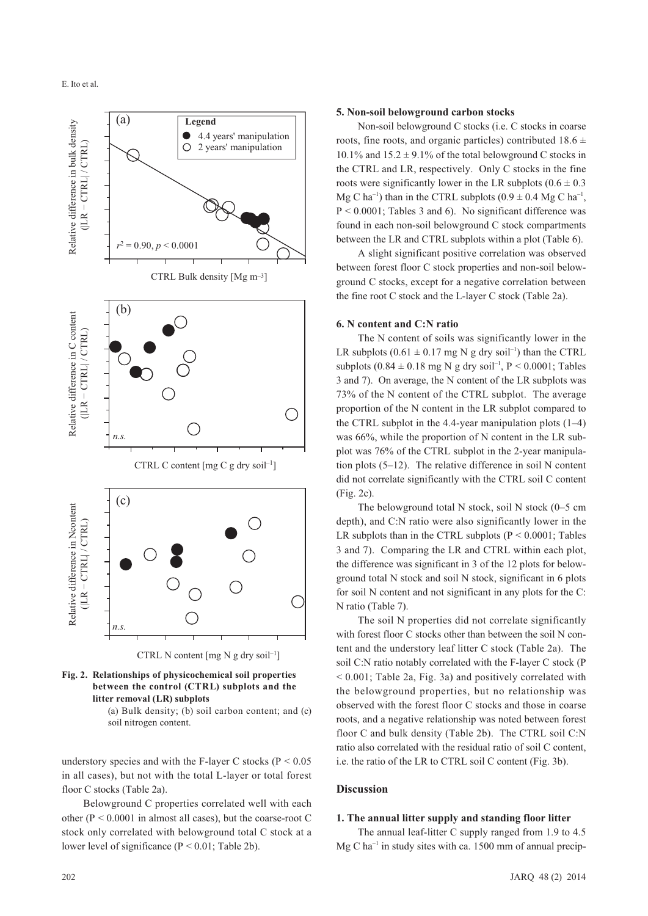



(a) Bulk density; (b) soil carbon content; and (c) soil nitrogen content.

understory species and with the F-layer C stocks ( $P < 0.05$ ) in all cases), but not with the total L-layer or total forest floor C stocks (Table 2a).

Belowground C properties correlated well with each other ( $P < 0.0001$  in almost all cases), but the coarse-root C stock only correlated with belowground total C stock at a lower level of significance (P < 0.01; Table 2b).

#### **5. Non-soil belowground carbon stocks**

Non-soil belowground C stocks (i.e. C stocks in coarse roots, fine roots, and organic particles) contributed  $18.6 \pm$ 10.1% and  $15.2 \pm 9.1$ % of the total belowground C stocks in the CTRL and LR, respectively. Only C stocks in the fine roots were significantly lower in the LR subplots  $(0.6 \pm 0.3)$ Mg C ha<sup>-1</sup>) than in the CTRL subplots  $(0.9 \pm 0.4 \text{ Mg C ha}^{-1})$ ,  $P < 0.0001$ ; Tables 3 and 6). No significant difference was found in each non-soil belowground C stock compartments between the LR and CTRL subplots within a plot (Table 6).

A slight significant positive correlation was observed between forest floor C stock properties and non-soil belowground C stocks, except for a negative correlation between the fine root C stock and the L-layer C stock (Table 2a).

## **6. N content and C:N ratio**

The N content of soils was significantly lower in the LR subplots  $(0.61 \pm 0.17 \text{ mg N g dry soil}^{-1})$  than the CTRL subplots  $(0.84 \pm 0.18 \text{ mg N g} \text{ dry soil}^{-1}$ ,  $P \le 0.0001$ ; Tables 3 and 7). On average, the N content of the LR subplots was 73% of the N content of the CTRL subplot. The average proportion of the N content in the LR subplot compared to the CTRL subplot in the 4.4-year manipulation plots (1–4) was 66%, while the proportion of N content in the LR subplot was 76% of the CTRL subplot in the 2-year manipulation plots (5–12). The relative difference in soil N content did not correlate significantly with the CTRL soil C content (Fig. 2c).

The belowground total N stock, soil N stock (0–5 cm depth), and C:N ratio were also significantly lower in the LR subplots than in the CTRL subplots ( $P < 0.0001$ ; Tables 3 and 7). Comparing the LR and CTRL within each plot, the difference was significant in 3 of the 12 plots for belowground total N stock and soil N stock, significant in 6 plots for soil N content and not significant in any plots for the C: N ratio (Table 7).

The soil N properties did not correlate significantly with forest floor C stocks other than between the soil N content and the understory leaf litter C stock (Table 2a). The soil C:N ratio notably correlated with the F-layer C stock (P < 0.001; Table 2a, Fig. 3a) and positively correlated with the belowground properties, but no relationship was observed with the forest floor C stocks and those in coarse roots, and a negative relationship was noted between forest floor C and bulk density (Table 2b). The CTRL soil C:N ratio also correlated with the residual ratio of soil C content, i.e. the ratio of the LR to CTRL soil C content (Fig. 3b).

# **Discussion**

## **1. The annual litter supply and standing floor litter**

The annual leaf-litter C supply ranged from 1.9 to 4.5  $Mg C$  ha<sup>-1</sup> in study sites with ca. 1500 mm of annual precip-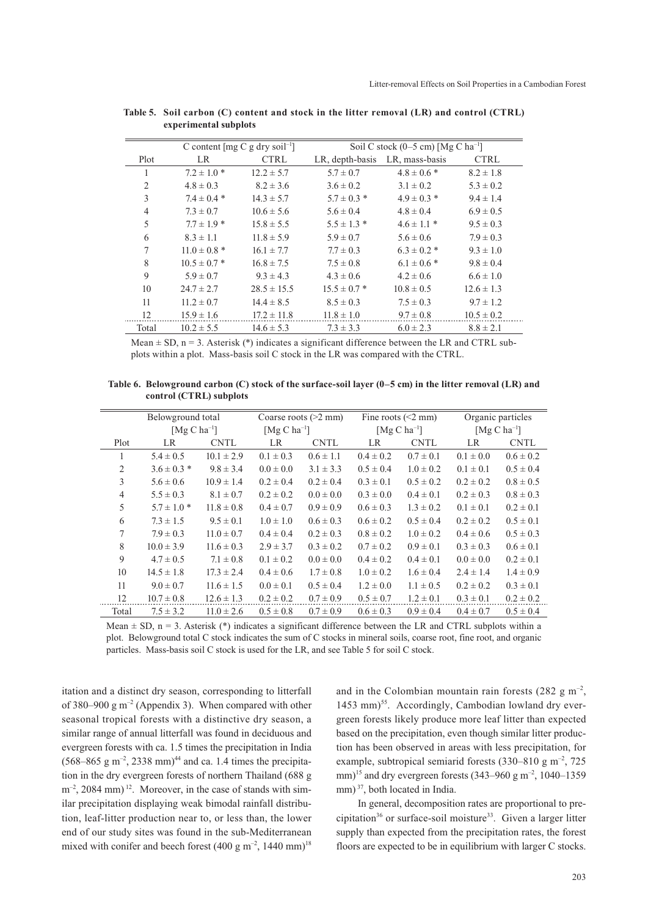|                |                  | C content $\lceil \text{mg C g dry soil}^{-1} \rceil$ |                  | Soil C stock $(0-5 \text{ cm})$ [Mg C ha <sup>-1</sup> ] |                |
|----------------|------------------|-------------------------------------------------------|------------------|----------------------------------------------------------|----------------|
| Plot           | LR.              | <b>CTRL</b>                                           | LR, depth-basis  | LR, mass-basis                                           | <b>CTRL</b>    |
| 1              | $7.2 \pm 1.0$ *  | $12.2 \pm 5.7$                                        | $5.7 \pm 0.7$    | $4.8 \pm 0.6$ *                                          | $8.2 \pm 1.8$  |
| $\overline{2}$ | $4.8 \pm 0.3$    | $8.2 \pm 3.6$                                         | $3.6 \pm 0.2$    | $3.1 \pm 0.2$                                            | $5.3 \pm 0.2$  |
| 3              | $7.4 \pm 0.4$ *  | $14.3 \pm 5.7$                                        | $5.7 \pm 0.3$ *  | $4.9 \pm 0.3$ *                                          | $9.4 \pm 1.4$  |
| 4              | $7.3 \pm 0.7$    | $10.6 \pm 5.6$                                        | $5.6 \pm 0.4$    | $4.8 \pm 0.4$                                            | $6.9 \pm 0.5$  |
| 5              | $7.7 \pm 1.9$ *  | $15.8 \pm 5.5$                                        | $5.5 \pm 1.3$ *  | $4.6 \pm 1.1$ *                                          | $9.5 \pm 0.3$  |
| 6              | $8.3 \pm 1.1$    | $11.8 \pm 5.9$                                        | $5.9 \pm 0.7$    | $5.6 \pm 0.6$                                            | $7.9 \pm 0.3$  |
| 7              | $11.0 \pm 0.8$ * | $16.1 \pm 7.7$                                        | $7.7 \pm 0.3$    | $6.3 \pm 0.2$ *                                          | $9.3 \pm 1.0$  |
| 8              | $10.5 \pm 0.7$ * | $16.8 \pm 7.5$                                        | $7.5 \pm 0.8$    | $6.1 \pm 0.6$ *                                          | $9.8 \pm 0.4$  |
| 9              | $5.9 \pm 0.7$    | $9.3 \pm 4.3$                                         | $4.3 \pm 0.6$    | $4.2 \pm 0.6$                                            | $6.6 \pm 1.0$  |
| 10             | $24.7 \pm 2.7$   | $28.5 \pm 15.5$                                       | $15.5 \pm 0.7$ * | $10.8 \pm 0.5$                                           | $12.6 \pm 1.3$ |
| 11             | $11.2 \pm 0.7$   | $14.4 \pm 8.5$                                        | $8.5 \pm 0.3$    | $7.5 \pm 0.3$                                            | $9.7 \pm 1.2$  |
| 12             | $15.9 \pm 1.6$   | $17.2 \pm 11.8$                                       | $11.8 \pm 1.0$   | $9.7 \pm 0.8$                                            | $10.5 \pm 0.2$ |
| Total          | $10.2 \pm 5.5$   | $14.6 \pm 5.3$                                        | $7.3 \pm 3.3$    | $6.0 \pm 2.3$                                            | $8.8 \pm 2.1$  |

**Table 5. Soil carbon (C) content and stock in the litter removal (LR) and control (CTRL) experimental subplots**

Mean  $\pm$  SD, n = 3. Asterisk (\*) indicates a significant difference between the LR and CTRL subplots within a plot. Mass-basis soil C stock in the LR was compared with the CTRL.

| Table 6. Belowground carbon $(C)$ stock of the surface-soil layer $(0-5$ cm) in the litter removal (LR) and |  |
|-------------------------------------------------------------------------------------------------------------|--|
| control (CTRL) subplots                                                                                     |  |

|                | Belowground total  |                |                    | Coarse roots $(>2$ mm) |               | Fine roots $(\leq 2$ mm) |               | Organic particles |
|----------------|--------------------|----------------|--------------------|------------------------|---------------|--------------------------|---------------|-------------------|
|                | [ $Mg C ha^{-1}$ ] |                | [ $Mg C ha^{-1}$ ] |                        |               | [ $Mg C ha^{-1}$ ]       |               | $[Mg Cha^{-1}]$   |
| Plot           | LR                 | <b>CNTL</b>    | LR                 | <b>CNTL</b>            | LR            | <b>CNTL</b>              | <b>LR</b>     | <b>CNTL</b>       |
|                | $5.4 \pm 0.5$      | $10.1 \pm 2.9$ | $0.1 \pm 0.3$      | $0.6 \pm 1.1$          | $0.4 \pm 0.2$ | $0.7 \pm 0.1$            | $0.1 \pm 0.0$ | $0.6 \pm 0.2$     |
| 2              | $3.6 \pm 0.3$ *    | $9.8 \pm 3.4$  | $0.0 \pm 0.0$      | $3.1 \pm 3.3$          | $0.5 \pm 0.4$ | $1.0 \pm 0.2$            | $0.1 \pm 0.1$ | $0.5 \pm 0.4$     |
| 3              | $5.6 \pm 0.6$      | $10.9 \pm 1.4$ | $0.2 \pm 0.4$      | $0.2 \pm 0.4$          | $0.3 \pm 0.1$ | $0.5 \pm 0.2$            | $0.2 \pm 0.2$ | $0.8 \pm 0.5$     |
| $\overline{4}$ | $5.5 \pm 0.3$      | $8.1 \pm 0.7$  | $0.2 \pm 0.2$      | $0.0 \pm 0.0$          | $0.3 \pm 0.0$ | $0.4 \pm 0.1$            | $0.2 \pm 0.3$ | $0.8 \pm 0.3$     |
| 5              | $5.7 \pm 1.0$ *    | $11.8 \pm 0.8$ | $0.4 \pm 0.7$      | $0.9 \pm 0.9$          | $0.6 \pm 0.3$ | $1.3 \pm 0.2$            | $0.1 \pm 0.1$ | $0.2 \pm 0.1$     |
| 6              | $7.3 \pm 1.5$      | $9.5 \pm 0.1$  | $1.0 \pm 1.0$      | $0.6 \pm 0.3$          | $0.6 \pm 0.2$ | $0.5 \pm 0.4$            | $0.2 \pm 0.2$ | $0.5 \pm 0.1$     |
| $\tau$         | $7.9 \pm 0.3$      | $11.0 \pm 0.7$ | $0.4 \pm 0.4$      | $0.2 \pm 0.3$          | $0.8 \pm 0.2$ | $1.0 \pm 0.2$            | $0.4 \pm 0.6$ | $0.5 \pm 0.3$     |
| 8              | $10.0 \pm 3.9$     | $11.6 \pm 0.3$ | $2.9 \pm 3.7$      | $0.3 \pm 0.2$          | $0.7 \pm 0.2$ | $0.9 \pm 0.1$            | $0.3 \pm 0.3$ | $0.6 \pm 0.1$     |
| 9              | $4.7 \pm 0.5$      | $7.1 \pm 0.8$  | $0.1 \pm 0.2$      | $0.0 \pm 0.0$          | $0.4 \pm 0.2$ | $0.4 \pm 0.1$            | $0.0 \pm 0.0$ | $0.2 \pm 0.1$     |
| 10             | $14.5 \pm 1.8$     | $17.3 \pm 2.4$ | $0.4 \pm 0.6$      | $1.7 \pm 0.8$          | $1.0 \pm 0.2$ | $1.6 \pm 0.4$            | $2.4 \pm 1.4$ | $1.4 \pm 0.9$     |
| 11             | $9.0 \pm 0.7$      | $11.6 \pm 1.5$ | $0.0 \pm 0.1$      | $0.5 \pm 0.4$          | $1.2 \pm 0.0$ | $1.1 \pm 0.5$            | $0.2 \pm 0.2$ | $0.3 \pm 0.1$     |
| 12             | $10.7 \pm 0.8$     | $12.6 \pm 1.3$ | $0.2 \pm 0.2$      | $0.7 \pm 0.9$          | $0.5 \pm 0.7$ | $1.2 \pm 0.1$            | $0.3 \pm 0.1$ | $0.2 \pm 0.2$     |
| Total          | $7.5 \pm 3.2$      | $11.0 \pm 2.6$ | $0.5 \pm 0.8$      | $0.7 \pm 0.9$          | $0.6 \pm 0.3$ | $0.9 \pm 0.4$            | $0.4 \pm 0.7$ | $0.5 \pm 0.4$     |

Mean  $\pm$  SD, n = 3. Asterisk (\*) indicates a significant difference between the LR and CTRL subplots within a plot. Belowground total C stock indicates the sum of C stocks in mineral soils, coarse root, fine root, and organic particles. Mass-basis soil C stock is used for the LR, and see Table 5 for soil C stock.

itation and a distinct dry season, corresponding to litterfall of 380–900 g  $m^{-2}$  (Appendix 3). When compared with other seasonal tropical forests with a distinctive dry season, a similar range of annual litterfall was found in deciduous and evergreen forests with ca. 1.5 times the precipitation in India  $(568-865 \text{ g m}^{-2}, 2338 \text{ mm})^{44}$  and ca. 1.4 times the precipitation in the dry evergreen forests of northern Thailand (688 g  $m^{-2}$ , 2084 mm)<sup>12</sup>. Moreover, in the case of stands with similar precipitation displaying weak bimodal rainfall distribution, leaf-litter production near to, or less than, the lower end of our study sites was found in the sub-Mediterranean mixed with conifer and beech forest (400 g m<sup>-2</sup>, 1440 mm)<sup>18</sup>

and in the Colombian mountain rain forests (282 g m<sup>-2</sup>,  $1453$  mm $)^{55}$ . Accordingly, Cambodian lowland dry evergreen forests likely produce more leaf litter than expected based on the precipitation, even though similar litter production has been observed in areas with less precipitation, for example, subtropical semiarid forests (330–810 g m<sup>-2</sup>, 725 mm)<sup>15</sup> and dry evergreen forests (343–960 g m<sup>-2</sup>, 1040–1359 mm)<sup>37</sup>, both located in India.

In general, decomposition rates are proportional to precipitation<sup>36</sup> or surface-soil moisture<sup>33</sup>. Given a larger litter supply than expected from the precipitation rates, the forest floors are expected to be in equilibrium with larger C stocks.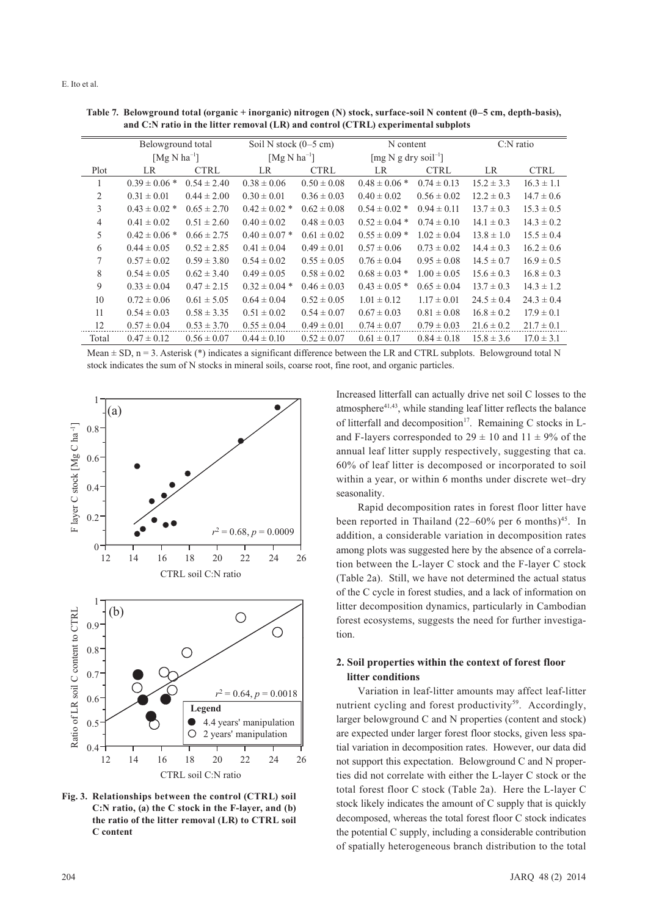|                | Belowground total           |                 | Soil N stock $(0-5 \text{ cm})$ |                 | N content                                  |                 |                | $C:$ N ratio   |
|----------------|-----------------------------|-----------------|---------------------------------|-----------------|--------------------------------------------|-----------------|----------------|----------------|
|                | [ $Mg$ N ha <sup>-1</sup> ] |                 | $[Mg N ha^{-1}]$                |                 | $\left[\text{mg N g dry soil}^{-1}\right]$ |                 |                |                |
| Plot           | LR                          | <b>CTRL</b>     | LR                              | <b>CTRL</b>     | LR                                         | <b>CTRL</b>     | LR.            | <b>CTRL</b>    |
| 1              | $0.39 \pm 0.06$ *           | $0.54 \pm 2.40$ | $0.38 \pm 0.06$                 | $0.50 \pm 0.08$ | $0.48 \pm 0.06$ *                          | $0.74 \pm 0.13$ | $15.2 \pm 3.3$ | $16.3 \pm 1.1$ |
| 2              | $0.31 \pm 0.01$             | $0.44 \pm 2.00$ | $0.30 \pm 0.01$                 | $0.36 \pm 0.03$ | $0.40 \pm 0.02$                            | $0.56 \pm 0.02$ | $12.2 \pm 0.3$ | $14.7 \pm 0.6$ |
| 3              | $0.43 \pm 0.02$ *           | $0.65 \pm 2.70$ | $0.42 \pm 0.02$ *               | $0.62 \pm 0.08$ | $0.54 \pm 0.02$ *                          | $0.94 \pm 0.11$ | $13.7 \pm 0.3$ | $15.3 \pm 0.5$ |
| $\overline{4}$ | $0.41 \pm 0.02$             | $0.51 \pm 2.60$ | $0.40 \pm 0.02$                 | $0.48 \pm 0.03$ | $0.52 \pm 0.04$ *                          | $0.74 \pm 0.10$ | $14.1 \pm 0.3$ | $14.3 \pm 0.2$ |
| 5              | $0.42 \pm 0.06$ *           | $0.66 \pm 2.75$ | $0.40 \pm 0.07$ *               | $0.61 \pm 0.02$ | $0.55 \pm 0.09$ *                          | $1.02 \pm 0.04$ | $13.8 \pm 1.0$ | $15.5 \pm 0.4$ |
| 6              | $0.44 \pm 0.05$             | $0.52 \pm 2.85$ | $0.41 \pm 0.04$                 | $0.49 \pm 0.01$ | $0.57 \pm 0.06$                            | $0.73 \pm 0.02$ | $14.4 \pm 0.3$ | $16.2 \pm 0.6$ |
| 7              | $0.57 \pm 0.02$             | $0.59 \pm 3.80$ | $0.54 \pm 0.02$                 | $0.55 \pm 0.05$ | $0.76 \pm 0.04$                            | $0.95 \pm 0.08$ | $14.5 \pm 0.7$ | $16.9 \pm 0.5$ |
| 8              | $0.54 \pm 0.05$             | $0.62 \pm 3.40$ | $0.49 \pm 0.05$                 | $0.58 \pm 0.02$ | $0.68 \pm 0.03$ *                          | $1.00 \pm 0.05$ | $15.6 \pm 0.3$ | $16.8 \pm 0.3$ |
| 9              | $0.33 \pm 0.04$             | $0.47 \pm 2.15$ | $0.32 \pm 0.04$ *               | $0.46 \pm 0.03$ | $0.43 \pm 0.05$ *                          | $0.65 \pm 0.04$ | $13.7 \pm 0.3$ | $14.3 \pm 1.2$ |
| 10             | $0.72 \pm 0.06$             | $0.61 \pm 5.05$ | $0.64 \pm 0.04$                 | $0.52 \pm 0.05$ | $1.01 \pm 0.12$                            | $1.17 \pm 0.01$ | $24.5 \pm 0.4$ | $24.3 \pm 0.4$ |
| 11             | $0.54 \pm 0.03$             | $0.58 \pm 3.35$ | $0.51 \pm 0.02$                 | $0.54 \pm 0.07$ | $0.67 \pm 0.03$                            | $0.81 \pm 0.08$ | $16.8 \pm 0.2$ | $17.9 \pm 0.1$ |
| 12             | $0.57 \pm 0.04$             | $0.53 \pm 3.70$ | $0.55 \pm 0.04$                 | $0.49 \pm 0.01$ | $0.74 \pm 0.07$                            | $0.79 \pm 0.03$ | $21.6 \pm 0.2$ | $21.7 \pm 0.1$ |
| Total          | $0.47 \pm 0.12$             | $0.56 \pm 0.07$ | $0.44 \pm 0.10$                 | $0.52 \pm 0.07$ | $0.61 \pm 0.17$                            | $0.84 \pm 0.18$ | $15.8 \pm 3.6$ | $17.0 \pm 3.1$ |

**Table 7. Belowground total (organic + inorganic) nitrogen (N) stock, surface-soil N content (0–5 cm, depth-basis), and C:N ratio in the litter removal (LR) and control (CTRL) experimental subplots**

Mean  $\pm$  SD, n = 3. Asterisk (\*) indicates a significant difference between the LR and CTRL subplots. Belowground total N stock indicates the sum of N stocks in mineral soils, coarse root, fine root, and organic particles.



**Fig. 3. Relationships between the control (CTRL) soil C:N ratio, (a) the C stock in the F-layer, and (b) the ratio of the litter removal (LR) to CTRL soil C content**

Increased litterfall can actually drive net soil C losses to the atmosphere $41,43$ , while standing leaf litter reflects the balance of litterfall and decomposition<sup>17</sup>. Remaining C stocks in Land F-layers corresponded to  $29 \pm 10$  and  $11 \pm 9\%$  of the annual leaf litter supply respectively, suggesting that ca. 60% of leaf litter is decomposed or incorporated to soil within a year, or within 6 months under discrete wet–dry seasonality.

Rapid decomposition rates in forest floor litter have been reported in Thailand (22–60% per 6 months)<sup>45</sup>. In addition, a considerable variation in decomposition rates among plots was suggested here by the absence of a correlation between the L-layer C stock and the F-layer C stock (Table 2a). Still, we have not determined the actual status of the C cycle in forest studies, and a lack of information on litter decomposition dynamics, particularly in Cambodian forest ecosystems, suggests the need for further investigation.

# **2. Soil properties within the context of forest floor litter conditions**

Variation in leaf-litter amounts may affect leaf-litter nutrient cycling and forest productivity<sup>59</sup>. Accordingly, larger belowground C and N properties (content and stock) are expected under larger forest floor stocks, given less spatial variation in decomposition rates. However, our data did not support this expectation. Belowground C and N properties did not correlate with either the L-layer C stock or the total forest floor C stock (Table 2a). Here the L-layer C stock likely indicates the amount of C supply that is quickly decomposed, whereas the total forest floor C stock indicates the potential C supply, including a considerable contribution of spatially heterogeneous branch distribution to the total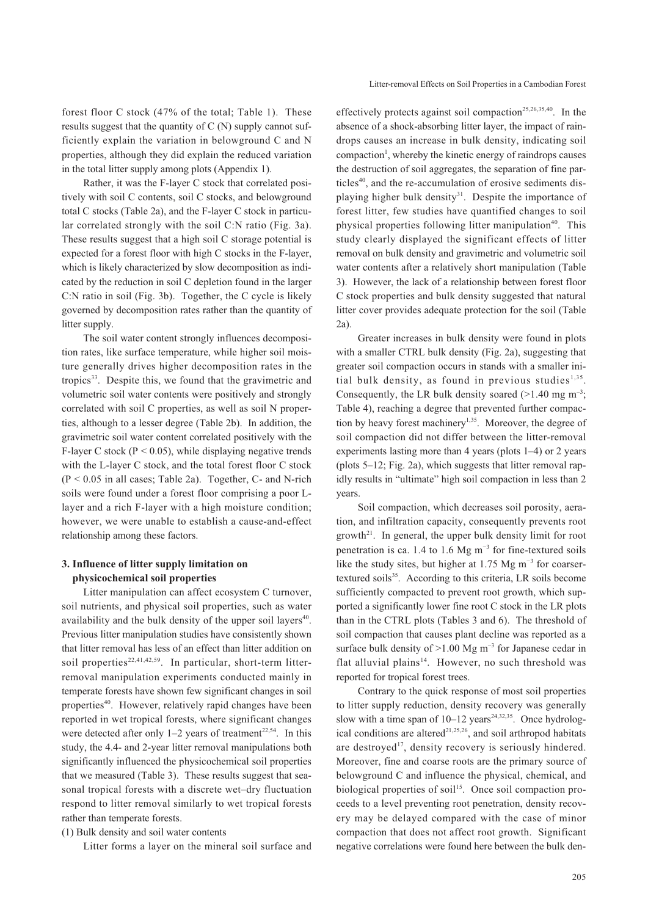forest floor C stock (47% of the total; Table 1). These results suggest that the quantity of C (N) supply cannot sufficiently explain the variation in belowground C and N properties, although they did explain the reduced variation in the total litter supply among plots (Appendix 1).

Rather, it was the F-layer C stock that correlated positively with soil C contents, soil C stocks, and belowground total C stocks (Table 2a), and the F-layer C stock in particular correlated strongly with the soil C:N ratio (Fig. 3a). These results suggest that a high soil C storage potential is expected for a forest floor with high C stocks in the F-layer, which is likely characterized by slow decomposition as indicated by the reduction in soil C depletion found in the larger C:N ratio in soil (Fig. 3b). Together, the C cycle is likely governed by decomposition rates rather than the quantity of litter supply.

The soil water content strongly influences decomposition rates, like surface temperature, while higher soil moisture generally drives higher decomposition rates in the tropics<sup>33</sup>. Despite this, we found that the gravimetric and volumetric soil water contents were positively and strongly correlated with soil C properties, as well as soil N properties, although to a lesser degree (Table 2b). In addition, the gravimetric soil water content correlated positively with the F-layer C stock ( $P < 0.05$ ), while displaying negative trends with the L-layer C stock, and the total forest floor C stock  $(P < 0.05$  in all cases; Table 2a). Together, C- and N-rich soils were found under a forest floor comprising a poor Llayer and a rich F-layer with a high moisture condition; however, we were unable to establish a cause-and-effect relationship among these factors.

# **3. Influence of litter supply limitation on physicochemical soil properties**

Litter manipulation can affect ecosystem C turnover, soil nutrients, and physical soil properties, such as water availability and the bulk density of the upper soil layers<sup>40</sup>. Previous litter manipulation studies have consistently shown that litter removal has less of an effect than litter addition on soil properties<sup>22,41,42,59</sup>. In particular, short-term litterremoval manipulation experiments conducted mainly in temperate forests have shown few significant changes in soil properties<sup>40</sup>. However, relatively rapid changes have been reported in wet tropical forests, where significant changes were detected after only  $1-2$  years of treatment<sup>22,54</sup>. In this study, the 4.4- and 2-year litter removal manipulations both significantly influenced the physicochemical soil properties that we measured (Table 3). These results suggest that seasonal tropical forests with a discrete wet–dry fluctuation respond to litter removal similarly to wet tropical forests rather than temperate forests.

(1) Bulk density and soil water contents

Litter forms a layer on the mineral soil surface and

effectively protects against soil compaction<sup>25,26,35,40</sup>. In the absence of a shock-absorbing litter layer, the impact of raindrops causes an increase in bulk density, indicating soil compaction<sup>1</sup>, whereby the kinetic energy of raindrops causes the destruction of soil aggregates, the separation of fine particles<sup>40</sup>, and the re-accumulation of erosive sediments displaying higher bulk density<sup>31</sup>. Despite the importance of forest litter, few studies have quantified changes to soil physical properties following litter manipulation<sup>40</sup>. This study clearly displayed the significant effects of litter removal on bulk density and gravimetric and volumetric soil water contents after a relatively short manipulation (Table 3). However, the lack of a relationship between forest floor C stock properties and bulk density suggested that natural litter cover provides adequate protection for the soil (Table 2a).

Greater increases in bulk density were found in plots with a smaller CTRL bulk density (Fig. 2a), suggesting that greater soil compaction occurs in stands with a smaller initial bulk density, as found in previous studies $^{1,35}$ . Consequently, the LR bulk density soared  $(>1.40 \text{ mg m}^{-3})$ ; Table 4), reaching a degree that prevented further compaction by heavy forest machinery<sup>1,35</sup>. Moreover, the degree of soil compaction did not differ between the litter-removal experiments lasting more than 4 years (plots 1–4) or 2 years (plots 5–12; Fig. 2a), which suggests that litter removal rapidly results in "ultimate" high soil compaction in less than 2 years.

Soil compaction, which decreases soil porosity, aeration, and infiltration capacity, consequently prevents root growth $21$ . In general, the upper bulk density limit for root penetration is ca. 1.4 to 1.6 Mg  $m^{-3}$  for fine-textured soils like the study sites, but higher at 1.75 Mg m−3 for coarsertextured soils<sup>35</sup>. According to this criteria, LR soils become sufficiently compacted to prevent root growth, which supported a significantly lower fine root C stock in the LR plots than in the CTRL plots (Tables 3 and 6). The threshold of soil compaction that causes plant decline was reported as a surface bulk density of  $>1.00$  Mg m<sup>-3</sup> for Japanese cedar in flat alluvial plains<sup>14</sup>. However, no such threshold was reported for tropical forest trees.

Contrary to the quick response of most soil properties to litter supply reduction, density recovery was generally slow with a time span of  $10-12$  years<sup>24,32,35</sup>. Once hydrological conditions are altered<sup>21,25,26</sup>, and soil arthropod habitats are destroyed<sup>17</sup>, density recovery is seriously hindered. Moreover, fine and coarse roots are the primary source of belowground C and influence the physical, chemical, and biological properties of soil<sup>15</sup>. Once soil compaction proceeds to a level preventing root penetration, density recovery may be delayed compared with the case of minor compaction that does not affect root growth. Significant negative correlations were found here between the bulk den-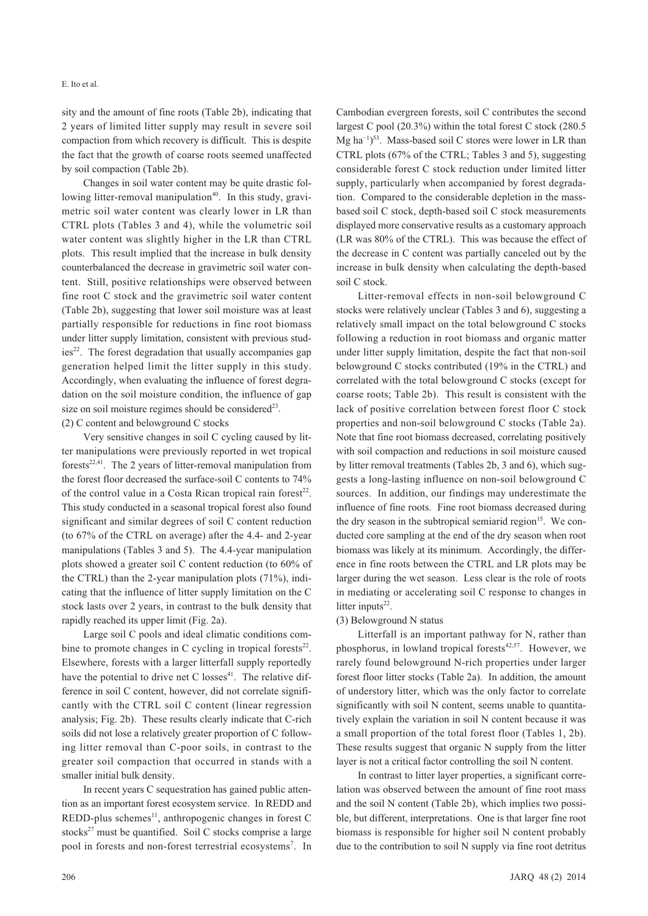sity and the amount of fine roots (Table 2b), indicating that 2 years of limited litter supply may result in severe soil compaction from which recovery is difficult. This is despite the fact that the growth of coarse roots seemed unaffected by soil compaction (Table 2b).

Changes in soil water content may be quite drastic following litter-removal manipulation<sup>40</sup>. In this study, gravimetric soil water content was clearly lower in LR than CTRL plots (Tables 3 and 4), while the volumetric soil water content was slightly higher in the LR than CTRL plots. This result implied that the increase in bulk density counterbalanced the decrease in gravimetric soil water content. Still, positive relationships were observed between fine root C stock and the gravimetric soil water content (Table 2b), suggesting that lower soil moisture was at least partially responsible for reductions in fine root biomass under litter supply limitation, consistent with previous studies $22$ . The forest degradation that usually accompanies gap generation helped limit the litter supply in this study. Accordingly, when evaluating the influence of forest degradation on the soil moisture condition, the influence of gap size on soil moisture regimes should be considered<sup>23</sup>.

#### (2) C content and belowground C stocks

Very sensitive changes in soil C cycling caused by litter manipulations were previously reported in wet tropical forests $22,41$ . The 2 years of litter-removal manipulation from the forest floor decreased the surface-soil C contents to 74% of the control value in a Costa Rican tropical rain forest<sup>22</sup>. This study conducted in a seasonal tropical forest also found significant and similar degrees of soil C content reduction (to 67% of the CTRL on average) after the 4.4- and 2-year manipulations (Tables 3 and 5). The 4.4-year manipulation plots showed a greater soil C content reduction (to 60% of the CTRL) than the 2-year manipulation plots (71%), indicating that the influence of litter supply limitation on the C stock lasts over 2 years, in contrast to the bulk density that rapidly reached its upper limit (Fig. 2a).

Large soil C pools and ideal climatic conditions combine to promote changes in C cycling in tropical forests<sup>22</sup>. Elsewhere, forests with a larger litterfall supply reportedly have the potential to drive net C losses $4^1$ . The relative difference in soil C content, however, did not correlate significantly with the CTRL soil C content (linear regression analysis; Fig. 2b). These results clearly indicate that C-rich soils did not lose a relatively greater proportion of C following litter removal than C-poor soils, in contrast to the greater soil compaction that occurred in stands with a smaller initial bulk density.

In recent years C sequestration has gained public attention as an important forest ecosystem service. In REDD and  $REDD$ -plus schemes<sup>11</sup>, anthropogenic changes in forest C stocks<sup>27</sup> must be quantified. Soil C stocks comprise a large pool in forests and non-forest terrestrial ecosystems<sup>7</sup>. In

Cambodian evergreen forests, soil C contributes the second largest C pool (20.3%) within the total forest C stock (280.5 Mg ha<sup>-1</sup>)<sup>53</sup>. Mass-based soil C stores were lower in LR than CTRL plots (67% of the CTRL; Tables 3 and 5), suggesting considerable forest C stock reduction under limited litter supply, particularly when accompanied by forest degradation. Compared to the considerable depletion in the massbased soil C stock, depth-based soil C stock measurements displayed more conservative results as a customary approach (LR was 80% of the CTRL). This was because the effect of the decrease in C content was partially canceled out by the increase in bulk density when calculating the depth-based soil C stock.

Litter-removal effects in non-soil belowground C stocks were relatively unclear (Tables 3 and 6), suggesting a relatively small impact on the total belowground C stocks following a reduction in root biomass and organic matter under litter supply limitation, despite the fact that non-soil belowground C stocks contributed (19% in the CTRL) and correlated with the total belowground C stocks (except for coarse roots; Table 2b). This result is consistent with the lack of positive correlation between forest floor C stock properties and non-soil belowground C stocks (Table 2a). Note that fine root biomass decreased, correlating positively with soil compaction and reductions in soil moisture caused by litter removal treatments (Tables 2b, 3 and 6), which suggests a long-lasting influence on non-soil belowground C sources. In addition, our findings may underestimate the influence of fine roots. Fine root biomass decreased during the dry season in the subtropical semiarid region $15$ . We conducted core sampling at the end of the dry season when root biomass was likely at its minimum. Accordingly, the difference in fine roots between the CTRL and LR plots may be larger during the wet season. Less clear is the role of roots in mediating or accelerating soil C response to changes in litter inputs $22$ .

## (3) Belowground N status

Litterfall is an important pathway for N, rather than phosphorus, in lowland tropical forests<sup>42,57</sup>. However, we rarely found belowground N-rich properties under larger forest floor litter stocks (Table 2a). In addition, the amount of understory litter, which was the only factor to correlate significantly with soil N content, seems unable to quantitatively explain the variation in soil N content because it was a small proportion of the total forest floor (Tables 1, 2b). These results suggest that organic N supply from the litter layer is not a critical factor controlling the soil N content.

In contrast to litter layer properties, a significant correlation was observed between the amount of fine root mass and the soil N content (Table 2b), which implies two possible, but different, interpretations. One is that larger fine root biomass is responsible for higher soil N content probably due to the contribution to soil N supply via fine root detritus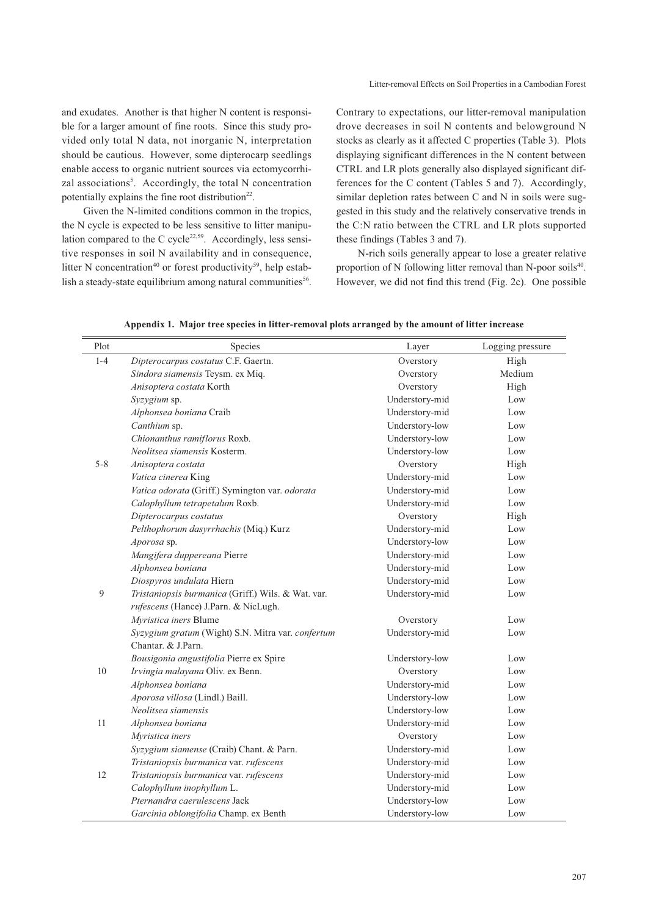and exudates. Another is that higher N content is responsible for a larger amount of fine roots. Since this study provided only total N data, not inorganic N, interpretation should be cautious. However, some dipterocarp seedlings enable access to organic nutrient sources via ectomycorrhizal associations<sup>5</sup>. Accordingly, the total N concentration potentially explains the fine root distribution<sup>22</sup>.

Given the N-limited conditions common in the tropics, the N cycle is expected to be less sensitive to litter manipulation compared to the C cycle<sup>22,59</sup>. Accordingly, less sensitive responses in soil N availability and in consequence, litter N concentration<sup>40</sup> or forest productivity<sup>59</sup>, help establish a steady-state equilibrium among natural communities<sup>56</sup>.

Contrary to expectations, our litter-removal manipulation drove decreases in soil N contents and belowground N stocks as clearly as it affected C properties (Table 3). Plots displaying significant differences in the N content between CTRL and LR plots generally also displayed significant differences for the C content (Tables 5 and 7). Accordingly, similar depletion rates between C and N in soils were suggested in this study and the relatively conservative trends in the C:N ratio between the CTRL and LR plots supported these findings (Tables 3 and 7).

N-rich soils generally appear to lose a greater relative proportion of N following litter removal than N-poor soils $40$ . However, we did not find this trend (Fig. 2c). One possible

| Plot    | Species                                            | Layer          | Logging pressure |
|---------|----------------------------------------------------|----------------|------------------|
| $1 - 4$ | Dipterocarpus costatus C.F. Gaertn.                | Overstory      | High             |
|         | Sindora siamensis Teysm. ex Miq.                   | Overstory      | Medium           |
|         | Anisoptera costata Korth                           | Overstory      | High             |
|         | Syzygium sp.                                       | Understory-mid | Low              |
|         | Alphonsea boniana Craib                            | Understory-mid | Low              |
|         | Canthium sp.                                       | Understory-low | Low              |
|         | Chionanthus ramiflorus Roxb.                       | Understory-low | Low              |
|         | Neolitsea siamensis Kosterm.                       | Understory-low | Low              |
| $5 - 8$ | Anisoptera costata                                 | Overstory      | High             |
|         | Vatica cinerea King                                | Understory-mid | Low              |
|         | Vatica odorata (Griff.) Symington var. odorata     | Understory-mid | Low              |
|         | Calophyllum tetrapetalum Roxb.                     | Understory-mid | Low              |
|         | Dipterocarpus costatus                             | Overstory      | High             |
|         | Pelthophorum dasyrrhachis (Miq.) Kurz              | Understory-mid | Low              |
|         | Aporosa sp.                                        | Understory-low | Low              |
|         | Mangifera duppereana Pierre                        | Understory-mid | Low              |
|         | Alphonsea boniana                                  | Understory-mid | Low              |
|         | Diospyros undulata Hiern                           | Understory-mid | Low              |
| 9       | Tristaniopsis burmanica (Griff.) Wils. & Wat. var. | Understory-mid | Low              |
|         | rufescens (Hance) J.Parn. & NicLugh.               |                |                  |
|         | Myristica iners Blume                              | Overstory      | Low              |
|         | Syzygium gratum (Wight) S.N. Mitra var. confertum  | Understory-mid | Low              |
|         | Chantar. & J.Parn.                                 |                |                  |
|         | Bousigonia angustifolia Pierre ex Spire            | Understory-low | Low              |
| 10      | Irvingia malayana Oliv. ex Benn.                   | Overstory      | Low              |
|         | Alphonsea boniana                                  | Understory-mid | Low              |
|         | Aporosa villosa (Lindl.) Baill.                    | Understory-low | Low              |
|         | Neolitsea siamensis                                | Understory-low | Low              |
| 11      | Alphonsea boniana                                  | Understory-mid | Low              |
|         | Myristica iners                                    | Overstory      | Low              |
|         | Syzygium siamense (Craib) Chant. & Parn.           | Understory-mid | Low              |
|         | Tristaniopsis burmanica var. rufescens             | Understory-mid | Low              |
| 12      | Tristaniopsis burmanica var. rufescens             | Understory-mid | Low              |
|         | Calophyllum inophyllum L.                          | Understory-mid | Low              |
|         | Pternandra caerulescens Jack                       | Understory-low | Low              |
|         | Garcinia oblongifolia Champ. ex Benth              | Understory-low | Low              |

**Appendix 1. Major tree species in litter-removal plots arranged by the amount of litter increase**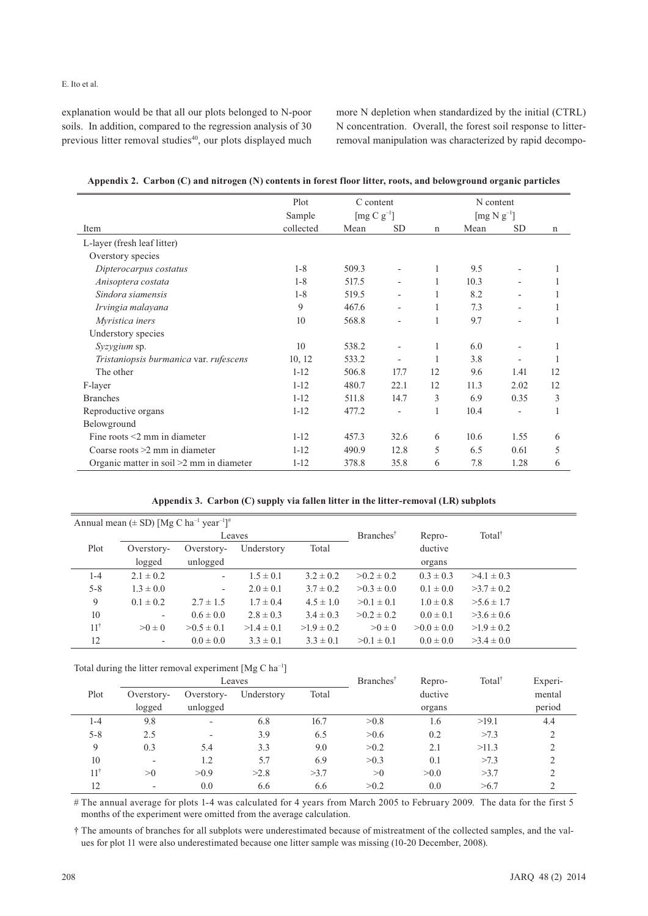explanation would be that all our plots belonged to N-poor soils. In addition, compared to the regression analysis of 30 previous litter removal studies<sup>40</sup>, our plots displayed much

more N depletion when standardized by the initial (CTRL) N concentration. Overall, the forest soil response to litterremoval manipulation was characterized by rapid decompo-

|                                            | Plot      | C content         |           |             | N content                 |                          |             |
|--------------------------------------------|-----------|-------------------|-----------|-------------|---------------------------|--------------------------|-------------|
|                                            | Sample    | [ $mg C g^{-1}$ ] |           |             | [ $mg \text{N } g^{-1}$ ] |                          |             |
| Item                                       | collected | Mean              | <b>SD</b> | $\mathbf n$ | Mean                      | <b>SD</b>                | $\mathbf n$ |
| L-layer (fresh leaf litter)                |           |                   |           |             |                           |                          |             |
| Overstory species                          |           |                   |           |             |                           |                          |             |
| Dipterocarpus costatus                     | $1 - 8$   | 509.3             |           | 1           | 9.5                       | $\overline{\phantom{a}}$ | 1           |
| Anisoptera costata                         | $1 - 8$   | 517.5             |           | 1           | 10.3                      |                          | 1           |
| Sindora siamensis                          | $1 - 8$   | 519.5             |           | 1           | 8.2                       |                          |             |
| Irvingia malayana                          | 9         | 467.6             |           | 1           | 7.3                       |                          |             |
| Myristica iners                            | 10        | 568.8             |           | 1           | 9.7                       |                          |             |
| Understory species                         |           |                   |           |             |                           |                          |             |
| Syzygium sp.                               | 10        | 538.2             |           | 1           | 6.0                       |                          | 1           |
| Tristaniopsis burmanica var. rufescens     | 10, 12    | 533.2             |           |             | 3.8                       |                          |             |
| The other                                  | $1 - 12$  | 506.8             | 17.7      | 12          | 9.6                       | 1.41                     | 12          |
| F-layer                                    | $1 - 12$  | 480.7             | 22.1      | 12          | 11.3                      | 2.02                     | 12          |
| <b>Branches</b>                            | $1 - 12$  | 511.8             | 14.7      | 3           | 6.9                       | 0.35                     | 3           |
| Reproductive organs                        | $1 - 12$  | 477.2             |           | 1           | 10.4                      |                          | 1           |
| Belowground                                |           |                   |           |             |                           |                          |             |
| Fine roots $\leq$ mm in diameter           | $1 - 12$  | 457.3             | 32.6      | 6           | 10.6                      | 1.55                     | 6           |
| Coarse roots $>2$ mm in diameter           | $1 - 12$  | 490.9             | 12.8      | 5           | 6.5                       | 0.61                     | 5           |
| Organic matter in soil $>2$ mm in diameter | $1 - 12$  | 378.8             | 35.8      | 6           | 7.8                       | 1.28                     | 6           |

**Appendix 3. Carbon (C) supply via fallen litter in the litter-removal (LR) subplots**

| Annual mean ( $\pm$ SD) [Mg C ha <sup>-1</sup> year <sup>-1</sup> ] <sup>#</sup> |                          |                          |                |                |                       |                |                    |  |  |  |  |
|----------------------------------------------------------------------------------|--------------------------|--------------------------|----------------|----------------|-----------------------|----------------|--------------------|--|--|--|--|
|                                                                                  |                          |                          | Leaves         |                | Branches <sup>†</sup> | Repro-         | Total <sup>†</sup> |  |  |  |  |
| Plot                                                                             | Overstory-               | Overstory-               | Understory     | Total          |                       | ductive        |                    |  |  |  |  |
|                                                                                  | logged                   | unlogged                 |                |                |                       | organs         |                    |  |  |  |  |
| $1 - 4$                                                                          | $2.1 \pm 0.2$            | $\overline{\phantom{a}}$ | $1.5 \pm 0.1$  | $3.2 \pm 0.2$  | $>0.2 \pm 0.2$        | $0.3 \pm 0.3$  | $>4.1 \pm 0.3$     |  |  |  |  |
| $5 - 8$                                                                          | $1.3 \pm 0.0$            | $\overline{\phantom{a}}$ | $2.0 \pm 0.1$  | $3.7 \pm 0.2$  | $>0.3 \pm 0.0$        | $0.1 \pm 0.0$  | $>3.7 \pm 0.2$     |  |  |  |  |
| 9                                                                                | $0.1 \pm 0.2$            | $2.7 \pm 1.5$            | $1.7 \pm 0.4$  | $4.5 \pm 1.0$  | $>0.1 \pm 0.1$        | $1.0 \pm 0.8$  | $>5.6 \pm 1.7$     |  |  |  |  |
| 10                                                                               | $\overline{\phantom{a}}$ | $0.6 \pm 0.0$            | $2.8 \pm 0.3$  | $3.4 \pm 0.3$  | $>0.2 \pm 0.2$        | $0.0 \pm 0.1$  | $>3.6 \pm 0.6$     |  |  |  |  |
| $11^{\dagger}$                                                                   | $>0 \pm 0$               | $>0.5 \pm 0.1$           | $>1.4 \pm 0.1$ | $>1.9 \pm 0.2$ | $>0 \pm 0$            | $>0.0 \pm 0.0$ | $>1.9 \pm 0.2$     |  |  |  |  |
| 12                                                                               | $\sim$                   | $0.0 \pm 0.0$            | $3.3 \pm 0.1$  | $3.3 \pm 0.1$  | $>0.1 \pm 0.1$        | $0.0 \pm 0.0$  | $>3.4 \pm 0.0$     |  |  |  |  |

## Total during the litter removal experiment [Mg C ha<sup>-1</sup>]

|                | Leaves                   |                          |            |       | Branches <sup>†</sup> | Repro-  | Total <sup>†</sup> | Experi- |
|----------------|--------------------------|--------------------------|------------|-------|-----------------------|---------|--------------------|---------|
| Plot           | Overstory-               | Overstory-               | Understory | Total |                       | ductive |                    | mental  |
|                | logged                   | unlogged                 |            |       |                       | organs  |                    | period  |
| $1 - 4$        | 9.8                      | $\overline{\phantom{0}}$ | 6.8        | 16.7  | >0.8                  | 1.6     | >19.1              | 4.4     |
| $5 - 8$        | 2.5                      | $\overline{\phantom{0}}$ | 3.9        | 6.5   | >0.6                  | 0.2     | >7.3               |         |
| 9              | 0.3                      | 5.4                      | 3.3        | 9.0   | >0.2                  | 2.1     | >11.3              |         |
| 10             | $\overline{\phantom{a}}$ | 1.2                      | 5.7        | 6.9   | >0.3                  | 0.1     | >7.3               |         |
| $11^{\dagger}$ | >0                       | >0.9                     | >2.8       | >3.7  | >0                    | >0.0    | >3.7               |         |
| 12             | $\overline{\phantom{0}}$ | 0.0                      | 6.6        | 6.6   | >0.2                  | 0.0     | >6.7               |         |

# The annual average for plots 1-4 was calculated for 4 years from March 2005 to February 2009. The data for the first 5 months of the experiment were omitted from the average calculation.

† The amounts of branches for all subplots were underestimated because of mistreatment of the collected samples, and the values for plot 11 were also underestimated because one litter sample was missing (10-20 December, 2008).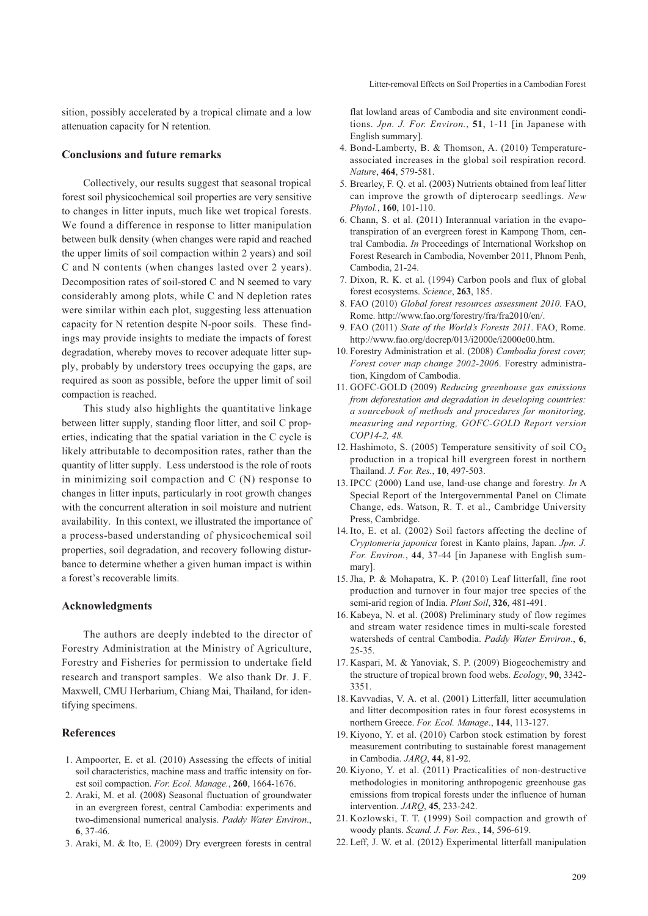sition, possibly accelerated by a tropical climate and a low attenuation capacity for N retention.

# **Conclusions and future remarks**

Collectively, our results suggest that seasonal tropical forest soil physicochemical soil properties are very sensitive to changes in litter inputs, much like wet tropical forests. We found a difference in response to litter manipulation between bulk density (when changes were rapid and reached the upper limits of soil compaction within 2 years) and soil C and N contents (when changes lasted over 2 years). Decomposition rates of soil-stored C and N seemed to vary considerably among plots, while C and N depletion rates were similar within each plot, suggesting less attenuation capacity for N retention despite N-poor soils. These findings may provide insights to mediate the impacts of forest degradation, whereby moves to recover adequate litter supply, probably by understory trees occupying the gaps, are required as soon as possible, before the upper limit of soil compaction is reached.

This study also highlights the quantitative linkage between litter supply, standing floor litter, and soil C properties, indicating that the spatial variation in the C cycle is likely attributable to decomposition rates, rather than the quantity of litter supply. Less understood is the role of roots in minimizing soil compaction and C (N) response to changes in litter inputs, particularly in root growth changes with the concurrent alteration in soil moisture and nutrient availability. In this context, we illustrated the importance of a process-based understanding of physicochemical soil properties, soil degradation, and recovery following disturbance to determine whether a given human impact is within a forest's recoverable limits.

#### **Acknowledgments**

The authors are deeply indebted to the director of Forestry Administration at the Ministry of Agriculture, Forestry and Fisheries for permission to undertake field research and transport samples. We also thank Dr. J. F. Maxwell, CMU Herbarium, Chiang Mai, Thailand, for identifying specimens.

# **References**

- 1. Ampoorter, E. et al. (2010) Assessing the effects of initial soil characteristics, machine mass and traffic intensity on forest soil compaction. *For. Ecol. Manage.*, **260**, 1664-1676.
- 2. Araki, M. et al. (2008) Seasonal fluctuation of groundwater in an evergreen forest, central Cambodia: experiments and two-dimensional numerical analysis. *Paddy Water Environ*., **6**, 37-46.
- 3. Araki, M. & Ito, E. (2009) Dry evergreen forests in central

flat lowland areas of Cambodia and site environment conditions. *Jpn. J. For. Environ.*, **51**, 1-11 [in Japanese with English summary].

- 4. Bond-Lamberty, B. & Thomson, A. (2010) Temperatureassociated increases in the global soil respiration record. *Nature*, **464**, 579-581.
- 5. Brearley, F. Q. et al. (2003) Nutrients obtained from leaf litter can improve the growth of dipterocarp seedlings. *New Phytol.*, **160**, 101-110.
- 6. Chann, S. et al. (2011) Interannual variation in the evapotranspiration of an evergreen forest in Kampong Thom, central Cambodia. *In* Proceedings of International Workshop on Forest Research in Cambodia, November 2011, Phnom Penh, Cambodia, 21-24.
- 7. Dixon, R. K. et al. (1994) Carbon pools and flux of global forest ecosystems. *Science*, **263**, 185.
- 8. FAO (2010) *Global forest resources assessment 2010.* FAO, Rome. http://www.fao.org/forestry/fra/fra2010/en/.
- 9. FAO (2011) *State of the World's Forests 2011*. FAO, Rome. http://www.fao.org/docrep/013/i2000e/i2000e00.htm.
- 10. Forestry Administration et al. (2008) *Cambodia forest cover, Forest cover map change 2002-2006*. Forestry administration, Kingdom of Cambodia.
- 11. GOFC-GOLD (2009) *Reducing greenhouse gas emissions from deforestation and degradation in developing countries: a sourcebook of methods and procedures for monitoring, measuring and reporting, GOFC-GOLD Report version COP14-2, 48.*
- 12. Hashimoto, S. (2005) Temperature sensitivity of soil  $CO<sub>2</sub>$ production in a tropical hill evergreen forest in northern Thailand. *J. For. Res.*, **10**, 497-503.
- 13. IPCC (2000) Land use, land-use change and forestry. *In* A Special Report of the Intergovernmental Panel on Climate Change, eds. Watson, R. T. et al., Cambridge University Press, Cambridge.
- 14. Ito, E. et al. (2002) Soil factors affecting the decline of *Cryptomeria japonica* forest in Kanto plains, Japan. *Jpn. J. For. Environ.*, **44**, 37-44 [in Japanese with English summary].
- 15. Jha, P. & Mohapatra, K. P. (2010) Leaf litterfall, fine root production and turnover in four major tree species of the semi-arid region of India. *Plant Soil*, **326**, 481-491.
- 16. Kabeya, N. et al. (2008) Preliminary study of flow regimes and stream water residence times in multi-scale forested watersheds of central Cambodia. *Paddy Water Environ*., **6**, 25-35.
- 17. Kaspari, M. & Yanoviak, S. P. (2009) Biogeochemistry and the structure of tropical brown food webs. *Ecology*, **90**, 3342- 3351.
- 18. Kavvadias, V. A. et al. (2001) Litterfall, litter accumulation and litter decomposition rates in four forest ecosystems in northern Greece. *For. Ecol. Manage*., **144**, 113-127.
- 19. Kiyono, Y. et al. (2010) Carbon stock estimation by forest measurement contributing to sustainable forest management in Cambodia. *JARQ*, **44**, 81-92.
- 20. Kiyono, Y. et al. (2011) Practicalities of non-destructive methodologies in monitoring anthropogenic greenhouse gas emissions from tropical forests under the influence of human intervention. *JARQ*, **45**, 233-242.
- 21. Kozlowski, T. T. (1999) Soil compaction and growth of woody plants. *Scand. J. For. Res.*, **14**, 596-619.
- 22. Leff, J. W. et al. (2012) Experimental litterfall manipulation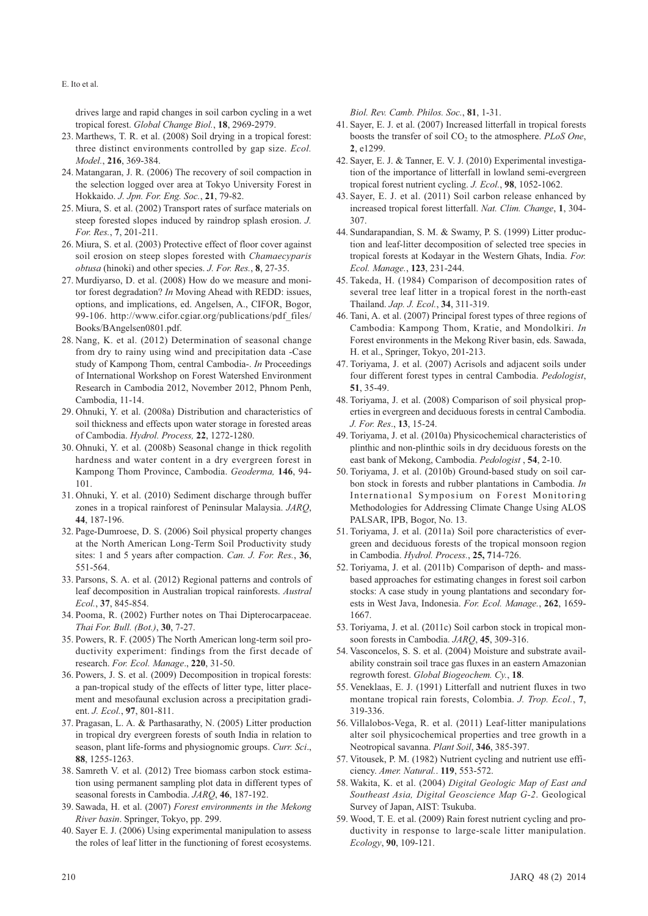drives large and rapid changes in soil carbon cycling in a wet tropical forest. *Global Change Biol.*, **18**, 2969-2979.

- 23. Marthews, T. R. et al. (2008) Soil drying in a tropical forest: three distinct environments controlled by gap size. *Ecol. Model.*, **216**, 369-384.
- 24. Matangaran, J. R. (2006) The recovery of soil compaction in the selection logged over area at Tokyo University Forest in Hokkaido. *J. Jpn. For. Eng. Soc.*, **21**, 79-82.
- 25. Miura, S. et al. (2002) Transport rates of surface materials on steep forested slopes induced by raindrop splash erosion. *J. For. Res.*, **7**, 201-211.
- 26. Miura, S. et al. (2003) Protective effect of floor cover against soil erosion on steep slopes forested with *Chamaecyparis obtusa* (hinoki) and other species. *J. For. Res.*, **8**, 27-35.
- 27. Murdiyarso, D. et al. (2008) How do we measure and monitor forest degradation? *In* Moving Ahead with REDD: issues, options, and implications, ed. Angelsen, A., CIFOR, Bogor, 99-106. http://www.cifor.cgiar.org/publications/pdf\_files/ Books/BAngelsen0801.pdf.
- 28. Nang, K. et al. (2012) Determination of seasonal change from dry to rainy using wind and precipitation data -Case study of Kampong Thom, central Cambodia-. *In* Proceedings of International Workshop on Forest Watershed Environment Research in Cambodia 2012, November 2012, Phnom Penh, Cambodia, 11-14.
- 29. Ohnuki, Y. et al. (2008a) Distribution and characteristics of soil thickness and effects upon water storage in forested areas of Cambodia. *Hydrol. Process,* **22**, 1272-1280.
- 30. Ohnuki, Y. et al. (2008b) Seasonal change in thick regolith hardness and water content in a dry evergreen forest in Kampong Thom Province, Cambodia. *Geoderma,* **146**, 94- 101.
- 31. Ohnuki, Y. et al. (2010) Sediment discharge through buffer zones in a tropical rainforest of Peninsular Malaysia. *JARQ*, **44**, 187-196.
- 32. Page-Dumroese, D. S. (2006) Soil physical property changes at the North American Long-Term Soil Productivity study sites: 1 and 5 years after compaction. *Can. J. For. Res.*, **36**, 551-564.
- 33. Parsons, S. A. et al. (2012) Regional patterns and controls of leaf decomposition in Australian tropical rainforests. *Austral Ecol.*, **37**, 845-854.
- 34. Pooma, R. (2002) Further notes on Thai Dipterocarpaceae. *Thai For. Bull. (Bot.)*, **30**, 7-27.
- 35. Powers, R. F. (2005) The North American long-term soil productivity experiment: findings from the first decade of research. *For. Ecol. Manage*., **220**, 31-50.
- 36. Powers, J. S. et al. (2009) Decomposition in tropical forests: a pan-tropical study of the effects of litter type, litter placement and mesofaunal exclusion across a precipitation gradient. *J. Ecol.*, **97**, 801-811.
- 37. Pragasan, L. A. & Parthasarathy, N. (2005) Litter production in tropical dry evergreen forests of south India in relation to season, plant life-forms and physiognomic groups. *Curr. Sci*., **88**, 1255-1263.
- 38. Samreth V. et al. (2012) Tree biomass carbon stock estimation using permanent sampling plot data in different types of seasonal forests in Cambodia. *JARQ*, **46**, 187-192.
- 39. Sawada, H. et al. (2007) *Forest environments in the Mekong River basin*. Springer, Tokyo, pp. 299.
- 40. Sayer E. J. (2006) Using experimental manipulation to assess the roles of leaf litter in the functioning of forest ecosystems.

*Biol. Rev. Camb. Philos. Soc.*, **81**, 1-31.

- 41. Sayer, E. J. et al. (2007) Increased litterfall in tropical forests boosts the transfer of soil CO<sub>2</sub> to the atmosphere. *PLoS One*, **2**, e1299.
- 42. Sayer, E. J. & Tanner, E. V. J. (2010) Experimental investigation of the importance of litterfall in lowland semi-evergreen tropical forest nutrient cycling. *J. Ecol.*, **98**, 1052-1062.
- 43. Sayer, E. J. et al. (2011) Soil carbon release enhanced by increased tropical forest litterfall. *Nat. Clim. Change*, **1**, 304- 307.
- 44. Sundarapandian, S. M. & Swamy, P. S. (1999) Litter production and leaf-litter decomposition of selected tree species in tropical forests at Kodayar in the Western Ghats, India. *For. Ecol. Manage.*, **123**, 231-244.
- 45. Takeda, H. (1984) Comparison of decomposition rates of several tree leaf litter in a tropical forest in the north-east Thailand. *Jap. J. Ecol.*, **34**, 311-319.
- 46. Tani, A. et al. (2007) Principal forest types of three regions of Cambodia: Kampong Thom, Kratie, and Mondolkiri. *In* Forest environments in the Mekong River basin, eds. Sawada, H. et al., Springer, Tokyo, 201-213.
- 47. Toriyama, J. et al. (2007) Acrisols and adjacent soils under four different forest types in central Cambodia. *Pedologist*, **51**, 35-49.
- 48. Toriyama, J. et al. (2008) Comparison of soil physical properties in evergreen and deciduous forests in central Cambodia. *J. For. Res*., **13**, 15-24.
- 49. Toriyama, J. et al. (2010a) Physicochemical characteristics of plinthic and non-plinthic soils in dry deciduous forests on the east bank of Mekong, Cambodia. *Pedologist* , **54**, 2-10.
- 50. Toriyama, J. et al. (2010b) Ground-based study on soil carbon stock in forests and rubber plantations in Cambodia. *In* International Symposium on Forest Monitoring Methodologies for Addressing Climate Change Using ALOS PALSAR, IPB, Bogor, No. 13.
- 51. Toriyama, J. et al. (2011a) Soil pore characteristics of evergreen and deciduous forests of the tropical monsoon region in Cambodia. *Hydrol. Process.*, **25, 7**14-726.
- 52. Toriyama, J. et al. (2011b) Comparison of depth- and massbased approaches for estimating changes in forest soil carbon stocks: A case study in young plantations and secondary forests in West Java, Indonesia. *For. Ecol. Manage.*, **262**, 1659- 1667.
- 53. Toriyama, J. et al. (2011c) Soil carbon stock in tropical monsoon forests in Cambodia. *JARQ*, **45**, 309-316.
- 54. Vasconcelos, S. S. et al. (2004) Moisture and substrate availability constrain soil trace gas fluxes in an eastern Amazonian regrowth forest. *Global Biogeochem. Cy.*, **18**.
- 55. Veneklaas, E. J. (1991) Litterfall and nutrient fluxes in two montane tropical rain forests, Colombia. *J. Trop. Ecol.*, **7**, 319-336.
- 56. Villalobos-Vega, R. et al. (2011) Leaf-litter manipulations alter soil physicochemical properties and tree growth in a Neotropical savanna. *Plant Soil*, **346**, 385-397.
- 57. Vitousek, P. M. (1982) Nutrient cycling and nutrient use efficiency. *Amer. Natural.*. **119**, 553-572.
- 58. Wakita, K. et al. (2004) *Digital Geologic Map of East and Southeast Asia, Digital Geoscience Map G-2*. Geological Survey of Japan, AIST: Tsukuba.
- 59. Wood, T. E. et al. (2009) Rain forest nutrient cycling and productivity in response to large-scale litter manipulation. *Ecology*, **90**, 109-121.